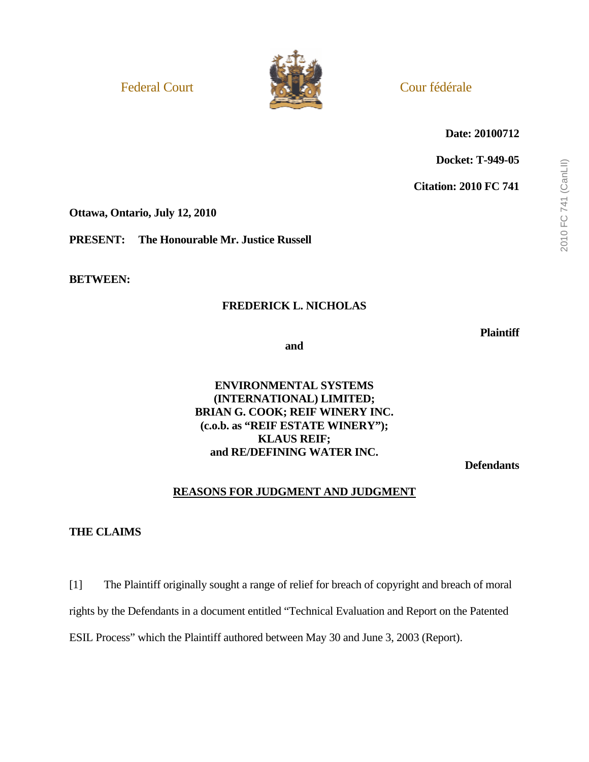

**Date: 20100712** 

**Docket: T-949-05** 

**Citation: 2010 FC 741** 

**Ottawa, Ontario, July 12, 2010** 

**PRESENT: The Honourable Mr. Justice Russell** 

**BETWEEN:** 

### **FREDERICK L. NICHOLAS**

**Plaintiff** 

**and** 

## **ENVIRONMENTAL SYSTEMS (INTERNATIONAL) LIMITED; BRIAN G. COOK; REIF WINERY INC. (c.o.b. as "REIF ESTATE WINERY"); KLAUS REIF; and RE/DEFINING WATER INC.**

**Defendants** 

## **REASONS FOR JUDGMENT AND JUDGMENT**

### **THE CLAIMS**

[1] The Plaintiff originally sought a range of relief for breach of copyright and breach of moral rights by the Defendants in a document entitled "Technical Evaluation and Report on the Patented ESIL Process" which the Plaintiff authored between May 30 and June 3, 2003 (Report).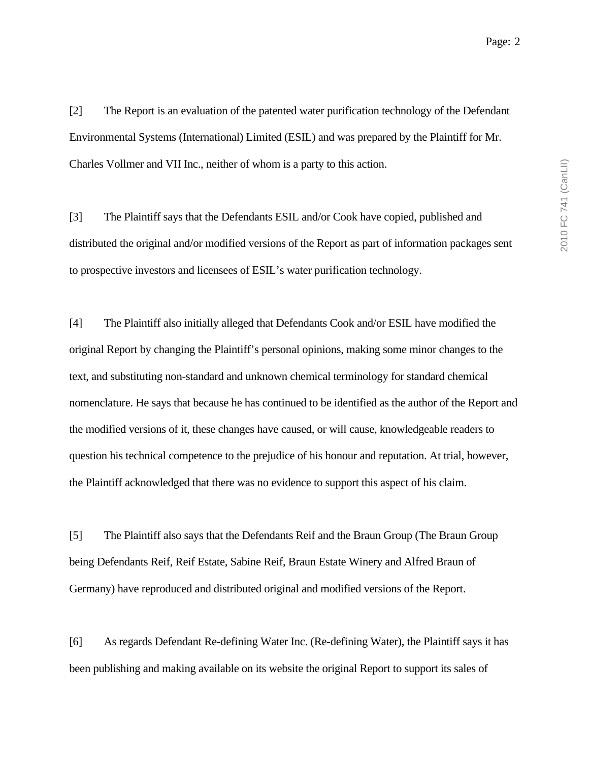[2] The Report is an evaluation of the patented water purification technology of the Defendant Environmental Systems (International) Limited (ESIL) and was prepared by the Plaintiff for Mr. Charles Vollmer and VII Inc., neither of whom is a party to this action.

[3] The Plaintiff says that the Defendants ESIL and/or Cook have copied, published and distributed the original and/or modified versions of the Report as part of information packages sent to prospective investors and licensees of ESIL's water purification technology.

[4] The Plaintiff also initially alleged that Defendants Cook and/or ESIL have modified the original Report by changing the Plaintiff's personal opinions, making some minor changes to the text, and substituting non-standard and unknown chemical terminology for standard chemical nomenclature. He says that because he has continued to be identified as the author of the Report and the modified versions of it, these changes have caused, or will cause, knowledgeable readers to question his technical competence to the prejudice of his honour and reputation. At trial, however, the Plaintiff acknowledged that there was no evidence to support this aspect of his claim.

[5] The Plaintiff also says that the Defendants Reif and the Braun Group (The Braun Group being Defendants Reif, Reif Estate, Sabine Reif, Braun Estate Winery and Alfred Braun of Germany) have reproduced and distributed original and modified versions of the Report.

[6] As regards Defendant Re-defining Water Inc. (Re-defining Water), the Plaintiff says it has been publishing and making available on its website the original Report to support its sales of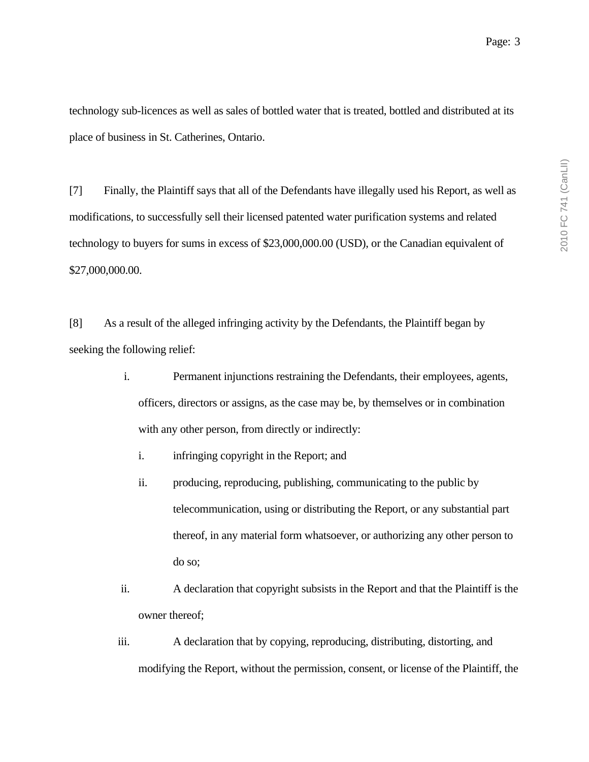technology sub-licences as well as sales of bottled water that is treated, bottled and distributed at its place of business in St. Catherines, Ontario.

[7] Finally, the Plaintiff says that all of the Defendants have illegally used his Report, as well as modifications, to successfully sell their licensed patented water purification systems and related technology to buyers for sums in excess of \$23,000,000.00 (USD), or the Canadian equivalent of \$27,000,000.00.

[8] As a result of the alleged infringing activity by the Defendants, the Plaintiff began by seeking the following relief:

- i. Permanent injunctions restraining the Defendants, their employees, agents, officers, directors or assigns, as the case may be, by themselves or in combination with any other person, from directly or indirectly:
	- i. infringing copyright in the Report; and
	- ii. producing, reproducing, publishing, communicating to the public by telecommunication, using or distributing the Report, or any substantial part thereof, in any material form whatsoever, or authorizing any other person to do so;
- ii. A declaration that copyright subsists in the Report and that the Plaintiff is the owner thereof;
- iii. A declaration that by copying, reproducing, distributing, distorting, and modifying the Report, without the permission, consent, or license of the Plaintiff, the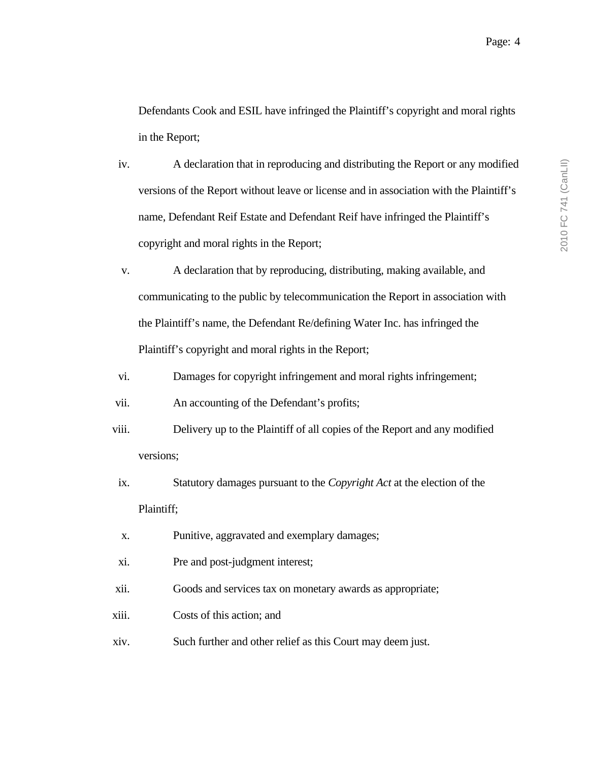Defendants Cook and ESIL have infringed the Plaintiff's copyright and moral rights in the Report;

- iv. A declaration that in reproducing and distributing the Report or any modified versions of the Report without leave or license and in association with the Plaintiff's name, Defendant Reif Estate and Defendant Reif have infringed the Plaintiff's copyright and moral rights in the Report;
- v. A declaration that by reproducing, distributing, making available, and communicating to the public by telecommunication the Report in association with the Plaintiff's name, the Defendant Re/defining Water Inc. has infringed the Plaintiff's copyright and moral rights in the Report;
- vi. Damages for copyright infringement and moral rights infringement;

vii. An accounting of the Defendant's profits;

- viii. Delivery up to the Plaintiff of all copies of the Report and any modified versions;
- ix. Statutory damages pursuant to the *Copyright Act* at the election of the Plaintiff;
- x. Punitive, aggravated and exemplary damages;
- xi. Pre and post-judgment interest;
- xii. Goods and services tax on monetary awards as appropriate;
- xiii. Costs of this action; and
- xiv. Such further and other relief as this Court may deem just.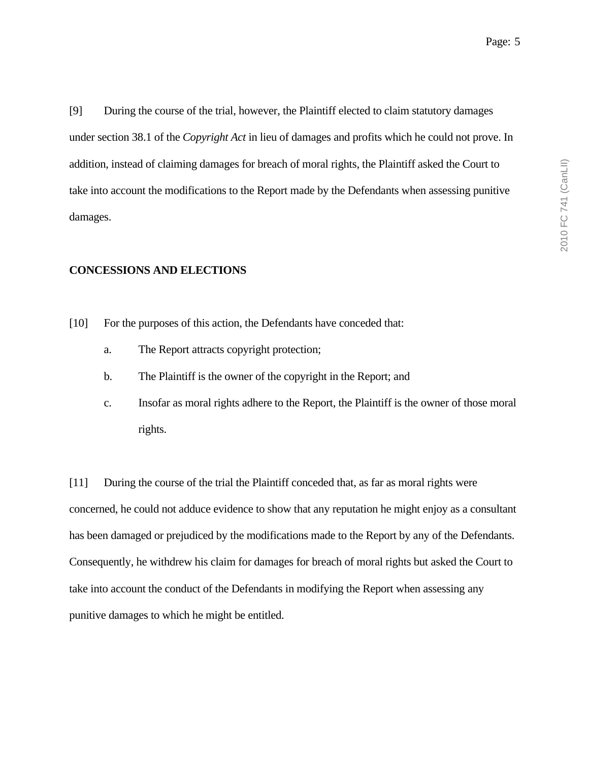[9] During the course of the trial, however, the Plaintiff elected to claim statutory damages under section 38.1 of the *Copyright Act* in lieu of damages and profits which he could not prove. In addition, instead of claiming damages for breach of moral rights, the Plaintiff asked the Court to take into account the modifications to the Report made by the Defendants when assessing punitive damages.

### **CONCESSIONS AND ELECTIONS**

- [10] For the purposes of this action, the Defendants have conceded that:
	- a. The Report attracts copyright protection;
	- b. The Plaintiff is the owner of the copyright in the Report; and
	- c. Insofar as moral rights adhere to the Report, the Plaintiff is the owner of those moral rights.

[11] During the course of the trial the Plaintiff conceded that, as far as moral rights were concerned, he could not adduce evidence to show that any reputation he might enjoy as a consultant has been damaged or prejudiced by the modifications made to the Report by any of the Defendants. Consequently, he withdrew his claim for damages for breach of moral rights but asked the Court to take into account the conduct of the Defendants in modifying the Report when assessing any punitive damages to which he might be entitled.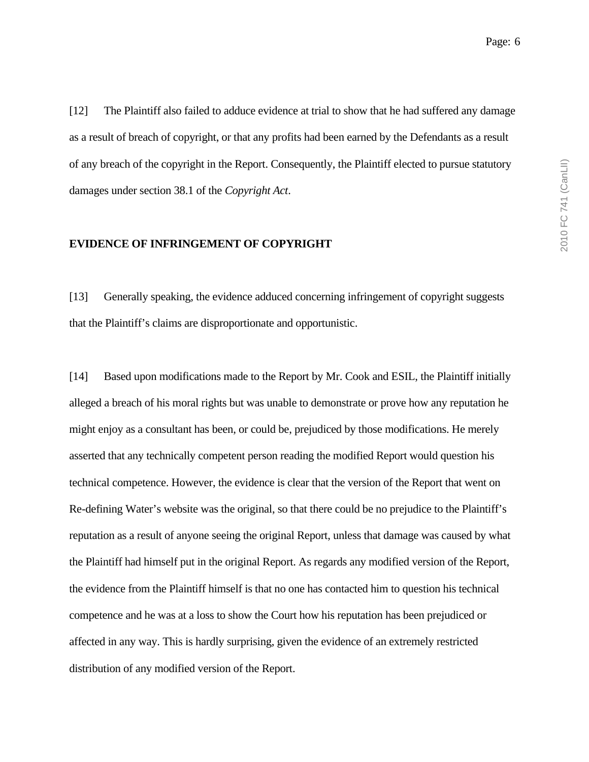[12] The Plaintiff also failed to adduce evidence at trial to show that he had suffered any damage as a result of breach of copyright, or that any profits had been earned by the Defendants as a result of any breach of the copyright in the Report. Consequently, the Plaintiff elected to pursue statutory damages under section 38.1 of the *Copyright Act*.

### **EVIDENCE OF INFRINGEMENT OF COPYRIGHT**

[13] Generally speaking, the evidence adduced concerning infringement of copyright suggests that the Plaintiff's claims are disproportionate and opportunistic.

[14] Based upon modifications made to the Report by Mr. Cook and ESIL, the Plaintiff initially alleged a breach of his moral rights but was unable to demonstrate or prove how any reputation he might enjoy as a consultant has been, or could be, prejudiced by those modifications. He merely asserted that any technically competent person reading the modified Report would question his technical competence. However, the evidence is clear that the version of the Report that went on Re-defining Water's website was the original, so that there could be no prejudice to the Plaintiff's reputation as a result of anyone seeing the original Report, unless that damage was caused by what the Plaintiff had himself put in the original Report. As regards any modified version of the Report, the evidence from the Plaintiff himself is that no one has contacted him to question his technical competence and he was at a loss to show the Court how his reputation has been prejudiced or affected in any way. This is hardly surprising, given the evidence of an extremely restricted distribution of any modified version of the Report.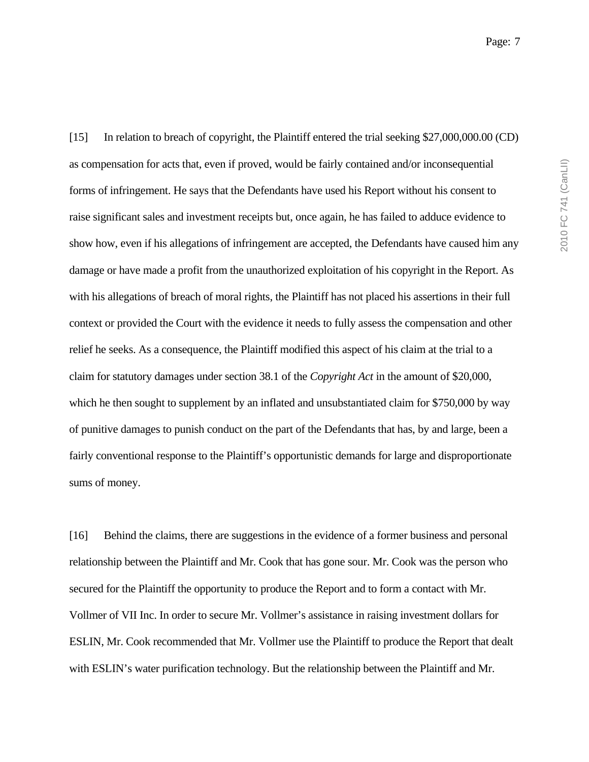[15] In relation to breach of copyright, the Plaintiff entered the trial seeking \$27,000,000.00 (CD) as compensation for acts that, even if proved, would be fairly contained and/or inconsequential forms of infringement. He says that the Defendants have used his Report without his consent to raise significant sales and investment receipts but, once again, he has failed to adduce evidence to show how, even if his allegations of infringement are accepted, the Defendants have caused him any damage or have made a profit from the unauthorized exploitation of his copyright in the Report. As with his allegations of breach of moral rights, the Plaintiff has not placed his assertions in their full context or provided the Court with the evidence it needs to fully assess the compensation and other relief he seeks. As a consequence, the Plaintiff modified this aspect of his claim at the trial to a claim for statutory damages under section 38.1 of the *Copyright Act* in the amount of \$20,000, which he then sought to supplement by an inflated and unsubstantiated claim for \$750,000 by way of punitive damages to punish conduct on the part of the Defendants that has, by and large, been a fairly conventional response to the Plaintiff's opportunistic demands for large and disproportionate sums of money.

[16] Behind the claims, there are suggestions in the evidence of a former business and personal relationship between the Plaintiff and Mr. Cook that has gone sour. Mr. Cook was the person who secured for the Plaintiff the opportunity to produce the Report and to form a contact with Mr. Vollmer of VII Inc. In order to secure Mr. Vollmer's assistance in raising investment dollars for ESLIN, Mr. Cook recommended that Mr. Vollmer use the Plaintiff to produce the Report that dealt with ESLIN's water purification technology. But the relationship between the Plaintiff and Mr.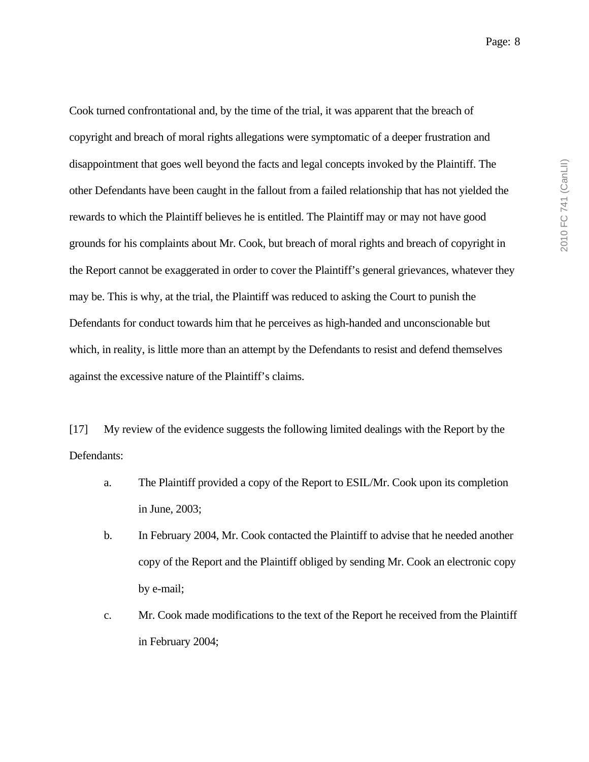Cook turned confrontational and, by the time of the trial, it was apparent that the breach of copyright and breach of moral rights allegations were symptomatic of a deeper frustration and disappointment that goes well beyond the facts and legal concepts invoked by the Plaintiff. The other Defendants have been caught in the fallout from a failed relationship that has not yielded the rewards to which the Plaintiff believes he is entitled. The Plaintiff may or may not have good grounds for his complaints about Mr. Cook, but breach of moral rights and breach of copyright in the Report cannot be exaggerated in order to cover the Plaintiff's general grievances, whatever they may be. This is why, at the trial, the Plaintiff was reduced to asking the Court to punish the Defendants for conduct towards him that he perceives as high-handed and unconscionable but which, in reality, is little more than an attempt by the Defendants to resist and defend themselves against the excessive nature of the Plaintiff's claims.

[17] My review of the evidence suggests the following limited dealings with the Report by the Defendants:

- a. The Plaintiff provided a copy of the Report to ESIL/Mr. Cook upon its completion in June, 2003;
- b. In February 2004, Mr. Cook contacted the Plaintiff to advise that he needed another copy of the Report and the Plaintiff obliged by sending Mr. Cook an electronic copy by e-mail;
- c. Mr. Cook made modifications to the text of the Report he received from the Plaintiff in February 2004;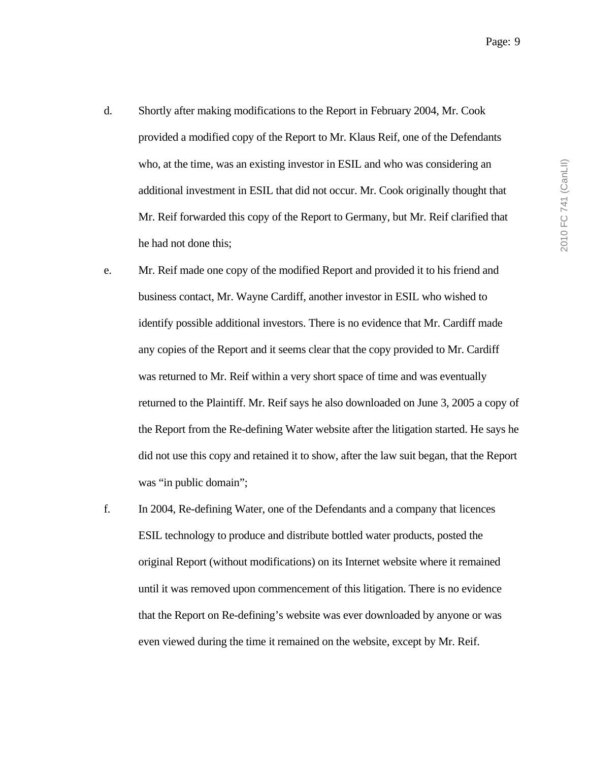- d. Shortly after making modifications to the Report in February 2004, Mr. Cook provided a modified copy of the Report to Mr. Klaus Reif, one of the Defendants who, at the time, was an existing investor in ESIL and who was considering an additional investment in ESIL that did not occur. Mr. Cook originally thought that Mr. Reif forwarded this copy of the Report to Germany, but Mr. Reif clarified that he had not done this;
- e. Mr. Reif made one copy of the modified Report and provided it to his friend and business contact, Mr. Wayne Cardiff, another investor in ESIL who wished to identify possible additional investors. There is no evidence that Mr. Cardiff made any copies of the Report and it seems clear that the copy provided to Mr. Cardiff was returned to Mr. Reif within a very short space of time and was eventually returned to the Plaintiff. Mr. Reif says he also downloaded on June 3, 2005 a copy of the Report from the Re-defining Water website after the litigation started. He says he did not use this copy and retained it to show, after the law suit began, that the Report was "in public domain";
- f. In 2004, Re-defining Water, one of the Defendants and a company that licences ESIL technology to produce and distribute bottled water products, posted the original Report (without modifications) on its Internet website where it remained until it was removed upon commencement of this litigation. There is no evidence that the Report on Re-defining's website was ever downloaded by anyone or was even viewed during the time it remained on the website, except by Mr. Reif.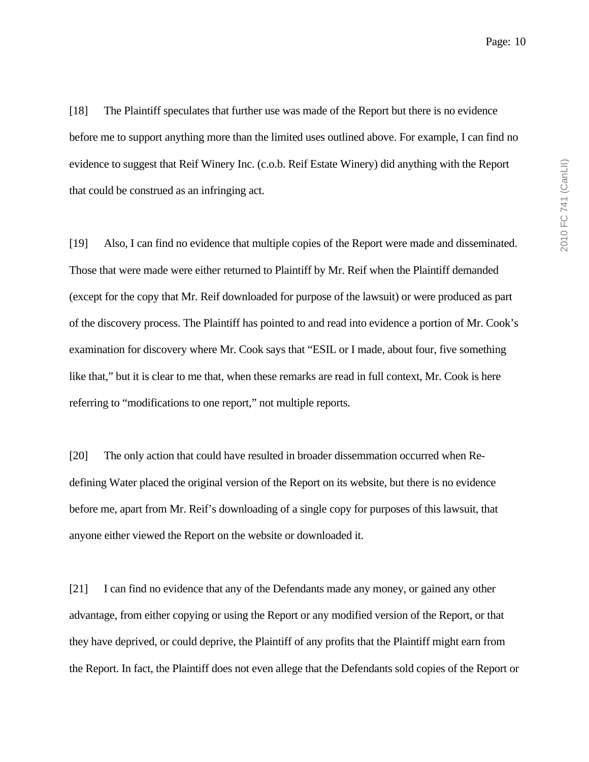[18] The Plaintiff speculates that further use was made of the Report but there is no evidence before me to support anything more than the limited uses outlined above. For example, I can find no evidence to suggest that Reif Winery Inc. (c.o.b. Reif Estate Winery) did anything with the Report that could be construed as an infringing act.

[19] Also, I can find no evidence that multiple copies of the Report were made and disseminated. Those that were made were either returned to Plaintiff by Mr. Reif when the Plaintiff demanded (except for the copy that Mr. Reif downloaded for purpose of the lawsuit) or were produced as part of the discovery process. The Plaintiff has pointed to and read into evidence a portion of Mr. Cook's examination for discovery where Mr. Cook says that "ESIL or I made, about four, five something like that," but it is clear to me that, when these remarks are read in full context, Mr. Cook is here referring to "modifications to one report," not multiple reports.

[20] The only action that could have resulted in broader dissemmation occurred when Redefining Water placed the original version of the Report on its website, but there is no evidence before me, apart from Mr. Reif's downloading of a single copy for purposes of this lawsuit, that anyone either viewed the Report on the website or downloaded it.

[21] I can find no evidence that any of the Defendants made any money, or gained any other advantage, from either copying or using the Report or any modified version of the Report, or that they have deprived, or could deprive, the Plaintiff of any profits that the Plaintiff might earn from the Report. In fact, the Plaintiff does not even allege that the Defendants sold copies of the Report or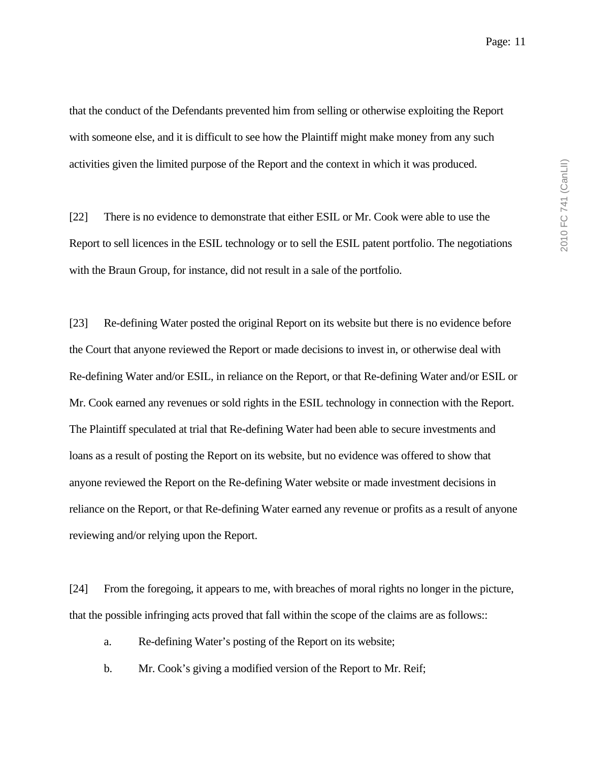that the conduct of the Defendants prevented him from selling or otherwise exploiting the Report with someone else, and it is difficult to see how the Plaintiff might make money from any such activities given the limited purpose of the Report and the context in which it was produced.

[22] There is no evidence to demonstrate that either ESIL or Mr. Cook were able to use the Report to sell licences in the ESIL technology or to sell the ESIL patent portfolio. The negotiations with the Braun Group, for instance, did not result in a sale of the portfolio.

[23] Re-defining Water posted the original Report on its website but there is no evidence before the Court that anyone reviewed the Report or made decisions to invest in, or otherwise deal with Re-defining Water and/or ESIL, in reliance on the Report, or that Re-defining Water and/or ESIL or Mr. Cook earned any revenues or sold rights in the ESIL technology in connection with the Report. The Plaintiff speculated at trial that Re-defining Water had been able to secure investments and loans as a result of posting the Report on its website, but no evidence was offered to show that anyone reviewed the Report on the Re-defining Water website or made investment decisions in reliance on the Report, or that Re-defining Water earned any revenue or profits as a result of anyone reviewing and/or relying upon the Report.

[24] From the foregoing, it appears to me, with breaches of moral rights no longer in the picture, that the possible infringing acts proved that fall within the scope of the claims are as follows::

- a. Re-defining Water's posting of the Report on its website;
- b. Mr. Cook's giving a modified version of the Report to Mr. Reif;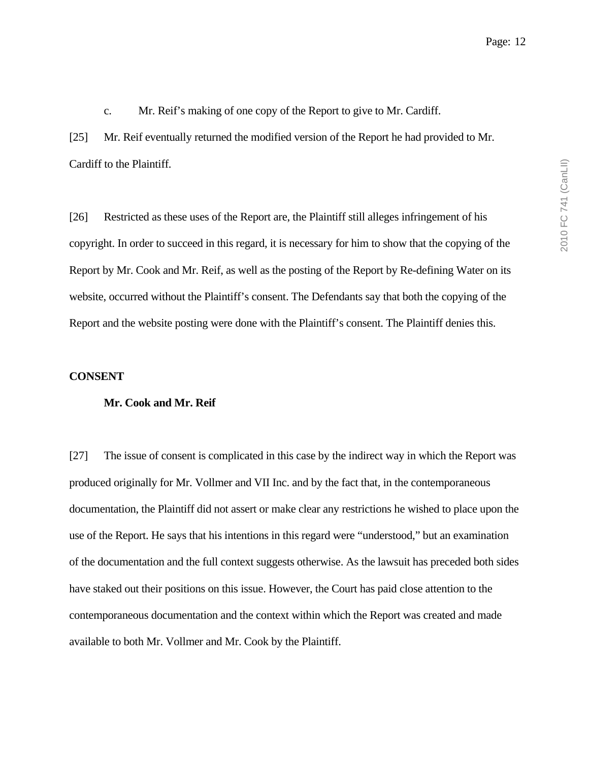c. Mr. Reif's making of one copy of the Report to give to Mr. Cardiff.

[25] Mr. Reif eventually returned the modified version of the Report he had provided to Mr. Cardiff to the Plaintiff.

[26] Restricted as these uses of the Report are, the Plaintiff still alleges infringement of his copyright. In order to succeed in this regard, it is necessary for him to show that the copying of the Report by Mr. Cook and Mr. Reif, as well as the posting of the Report by Re-defining Water on its website, occurred without the Plaintiff's consent. The Defendants say that both the copying of the Report and the website posting were done with the Plaintiff's consent. The Plaintiff denies this.

### **CONSENT**

#### **Mr. Cook and Mr. Reif**

[27] The issue of consent is complicated in this case by the indirect way in which the Report was produced originally for Mr. Vollmer and VII Inc. and by the fact that, in the contemporaneous documentation, the Plaintiff did not assert or make clear any restrictions he wished to place upon the use of the Report. He says that his intentions in this regard were "understood," but an examination of the documentation and the full context suggests otherwise. As the lawsuit has preceded both sides have staked out their positions on this issue. However, the Court has paid close attention to the contemporaneous documentation and the context within which the Report was created and made available to both Mr. Vollmer and Mr. Cook by the Plaintiff.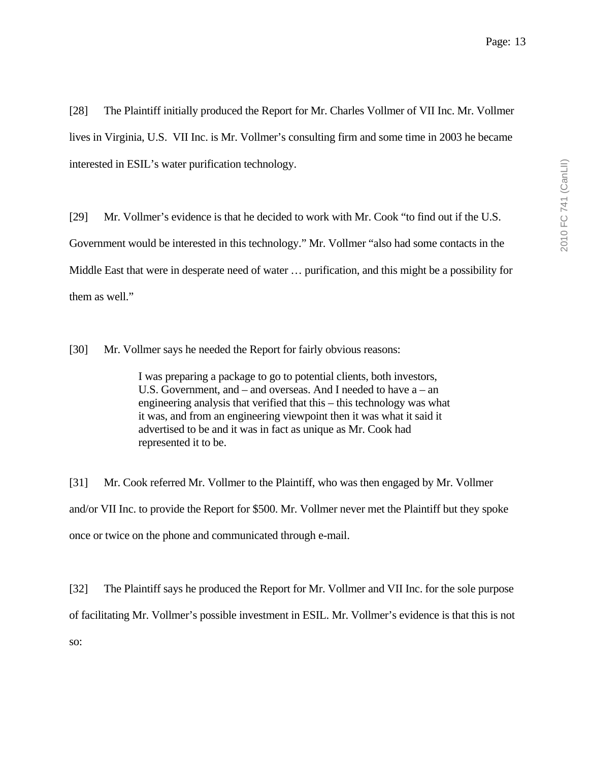[28] The Plaintiff initially produced the Report for Mr. Charles Vollmer of VII Inc. Mr. Vollmer lives in Virginia, U.S. VII Inc. is Mr. Vollmer's consulting firm and some time in 2003 he became interested in ESIL's water purification technology.

[29] Mr. Vollmer's evidence is that he decided to work with Mr. Cook "to find out if the U.S. Government would be interested in this technology." Mr. Vollmer "also had some contacts in the Middle East that were in desperate need of water … purification, and this might be a possibility for them as well."

[30] Mr. Vollmer says he needed the Report for fairly obvious reasons:

I was preparing a package to go to potential clients, both investors, U.S. Government, and – and overseas. And I needed to have a – an engineering analysis that verified that this – this technology was what it was, and from an engineering viewpoint then it was what it said it advertised to be and it was in fact as unique as Mr. Cook had represented it to be.

[31] Mr. Cook referred Mr. Vollmer to the Plaintiff, who was then engaged by Mr. Vollmer and/or VII Inc. to provide the Report for \$500. Mr. Vollmer never met the Plaintiff but they spoke once or twice on the phone and communicated through e-mail.

[32] The Plaintiff says he produced the Report for Mr. Vollmer and VII Inc. for the sole purpose of facilitating Mr. Vollmer's possible investment in ESIL. Mr. Vollmer's evidence is that this is not so: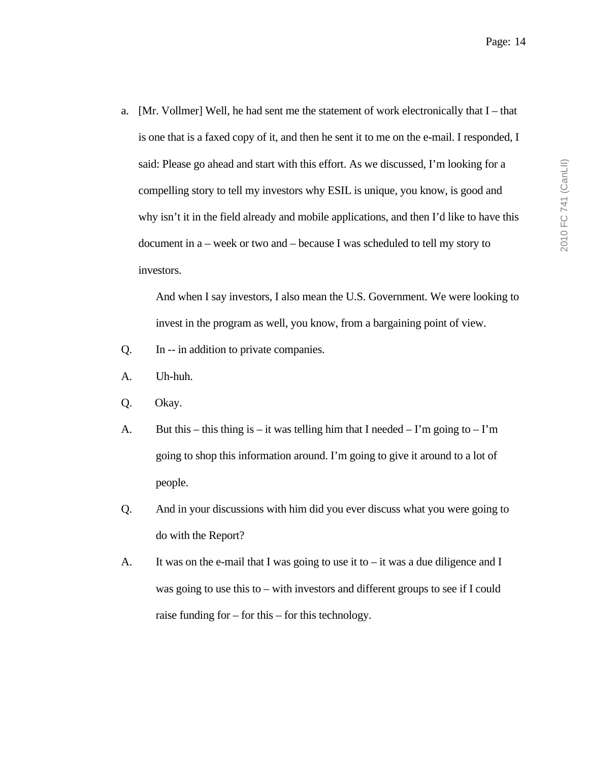a. [Mr. Vollmer] Well, he had sent me the statement of work electronically that I – that is one that is a faxed copy of it, and then he sent it to me on the e-mail. I responded, I said: Please go ahead and start with this effort. As we discussed, I'm looking for a compelling story to tell my investors why ESIL is unique, you know, is good and why isn't it in the field already and mobile applications, and then I'd like to have this document in a – week or two and – because I was scheduled to tell my story to investors.

And when I say investors, I also mean the U.S. Government. We were looking to invest in the program as well, you know, from a bargaining point of view.

- Q. In -- in addition to private companies.
- A. Uh-huh.
- Q. Okay.
- A. But this this thing is it was telling him that I needed I'm going to I'm going to shop this information around. I'm going to give it around to a lot of people.
- Q. And in your discussions with him did you ever discuss what you were going to do with the Report?
- A. It was on the e-mail that I was going to use it to it was a due diligence and I was going to use this to – with investors and different groups to see if I could raise funding for – for this – for this technology.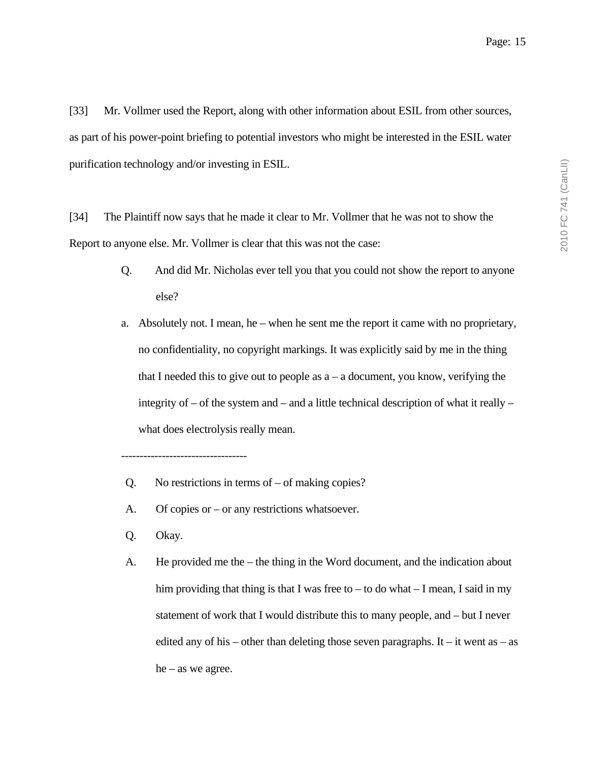[33] Mr. Vollmer used the Report, along with other information about ESIL from other sources, as part of his power-point briefing to potential investors who might be interested in the ESIL water purification technology and/or investing in ESIL.

[34] The Plaintiff now says that he made it clear to Mr. Vollmer that he was not to show the Report to anyone else. Mr. Vollmer is clear that this was not the case:

- Q. And did Mr. Nicholas ever tell you that you could not show the report to anyone else?
- a. Absolutely not. I mean, he when he sent me the report it came with no proprietary, no confidentiality, no copyright markings. It was explicitly said by me in the thing that I needed this to give out to people as  $a - a$  document, you know, verifying the integrity of  $-$  of the system and  $-$  and a little technical description of what it really  $$ what does electrolysis really mean.
- Q. No restrictions in terms of of making copies?
- A. Of copies or or any restrictions whatsoever.
- Q. Okay.

----------------------------------

A. He provided me the – the thing in the Word document, and the indication about him providing that thing is that I was free to – to do what  $-$  I mean, I said in my statement of work that I would distribute this to many people, and – but I never edited any of his – other than deleting those seven paragraphs. It – it went as – as he – as we agree.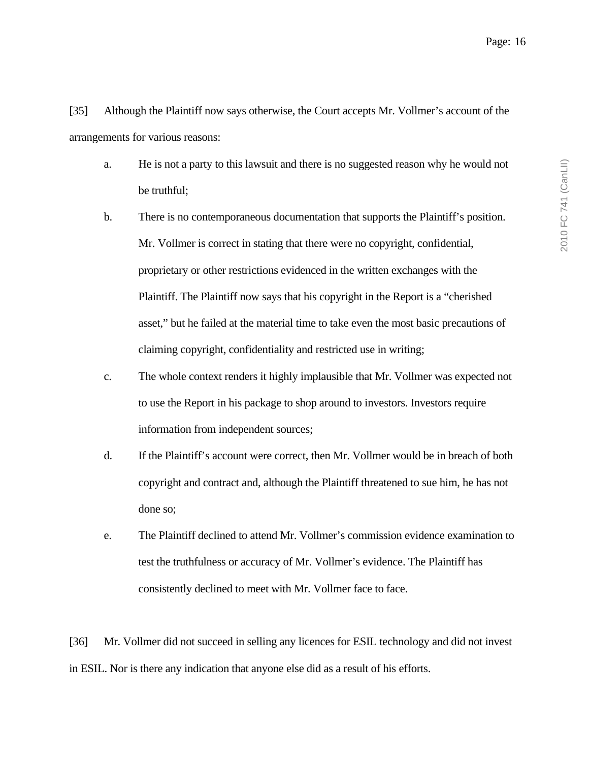[35] Although the Plaintiff now says otherwise, the Court accepts Mr. Vollmer's account of the arrangements for various reasons:

- a. He is not a party to this lawsuit and there is no suggested reason why he would not be truthful;
- b. There is no contemporaneous documentation that supports the Plaintiff's position. Mr. Vollmer is correct in stating that there were no copyright, confidential, proprietary or other restrictions evidenced in the written exchanges with the Plaintiff. The Plaintiff now says that his copyright in the Report is a "cherished asset," but he failed at the material time to take even the most basic precautions of claiming copyright, confidentiality and restricted use in writing;
- c. The whole context renders it highly implausible that Mr. Vollmer was expected not to use the Report in his package to shop around to investors. Investors require information from independent sources;
- d. If the Plaintiff's account were correct, then Mr. Vollmer would be in breach of both copyright and contract and, although the Plaintiff threatened to sue him, he has not done so;
- e. The Plaintiff declined to attend Mr. Vollmer's commission evidence examination to test the truthfulness or accuracy of Mr. Vollmer's evidence. The Plaintiff has consistently declined to meet with Mr. Vollmer face to face.

[36] Mr. Vollmer did not succeed in selling any licences for ESIL technology and did not invest in ESIL. Nor is there any indication that anyone else did as a result of his efforts.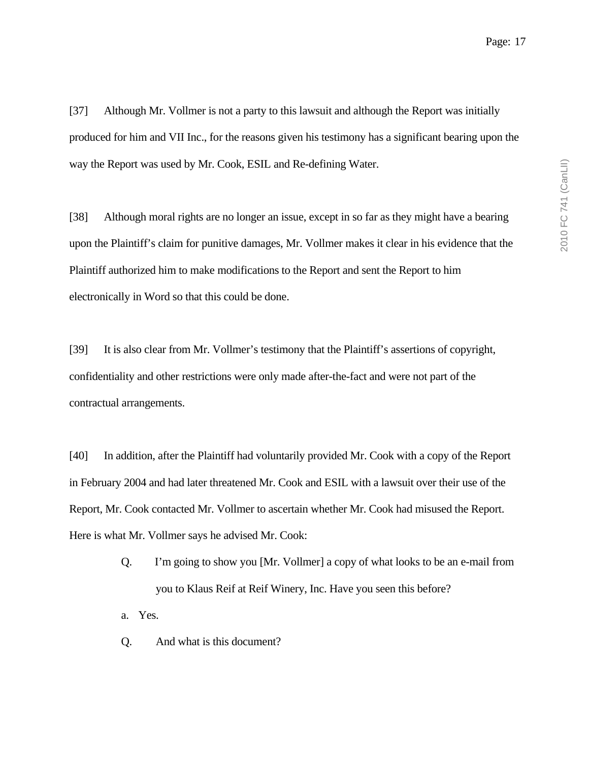[37] Although Mr. Vollmer is not a party to this lawsuit and although the Report was initially produced for him and VII Inc., for the reasons given his testimony has a significant bearing upon the way the Report was used by Mr. Cook, ESIL and Re-defining Water.

[38] Although moral rights are no longer an issue, except in so far as they might have a bearing upon the Plaintiff's claim for punitive damages, Mr. Vollmer makes it clear in his evidence that the Plaintiff authorized him to make modifications to the Report and sent the Report to him electronically in Word so that this could be done.

[39] It is also clear from Mr. Vollmer's testimony that the Plaintiff's assertions of copyright, confidentiality and other restrictions were only made after-the-fact and were not part of the contractual arrangements.

[40] In addition, after the Plaintiff had voluntarily provided Mr. Cook with a copy of the Report in February 2004 and had later threatened Mr. Cook and ESIL with a lawsuit over their use of the Report, Mr. Cook contacted Mr. Vollmer to ascertain whether Mr. Cook had misused the Report. Here is what Mr. Vollmer says he advised Mr. Cook:

- Q. I'm going to show you [Mr. Vollmer] a copy of what looks to be an e-mail from you to Klaus Reif at Reif Winery, Inc. Have you seen this before?
- a. Yes.
- Q. And what is this document?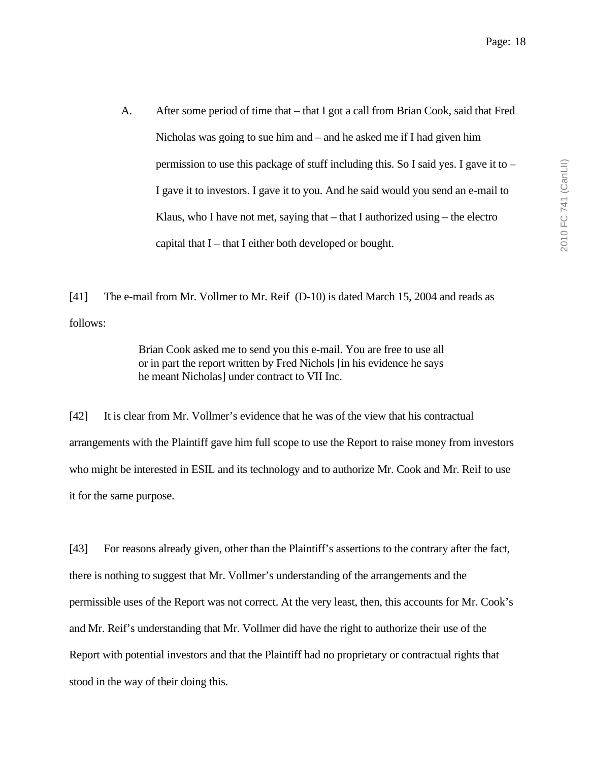A. After some period of time that – that I got a call from Brian Cook, said that Fred Nicholas was going to sue him and – and he asked me if I had given him permission to use this package of stuff including this. So I said yes. I gave it to – I gave it to investors. I gave it to you. And he said would you send an e-mail to Klaus, who I have not met, saying that  $-$  that I authorized using  $-$  the electro capital that I – that I either both developed or bought.

[41] The e-mail from Mr. Vollmer to Mr. Reif (D-10) is dated March 15, 2004 and reads as follows:

> Brian Cook asked me to send you this e-mail. You are free to use all or in part the report written by Fred Nichols [in his evidence he says he meant Nicholas] under contract to VII Inc.

[42] It is clear from Mr. Vollmer's evidence that he was of the view that his contractual arrangements with the Plaintiff gave him full scope to use the Report to raise money from investors who might be interested in ESIL and its technology and to authorize Mr. Cook and Mr. Reif to use it for the same purpose.

[43] For reasons already given, other than the Plaintiff's assertions to the contrary after the fact, there is nothing to suggest that Mr. Vollmer's understanding of the arrangements and the permissible uses of the Report was not correct. At the very least, then, this accounts for Mr. Cook's and Mr. Reif's understanding that Mr. Vollmer did have the right to authorize their use of the Report with potential investors and that the Plaintiff had no proprietary or contractual rights that stood in the way of their doing this.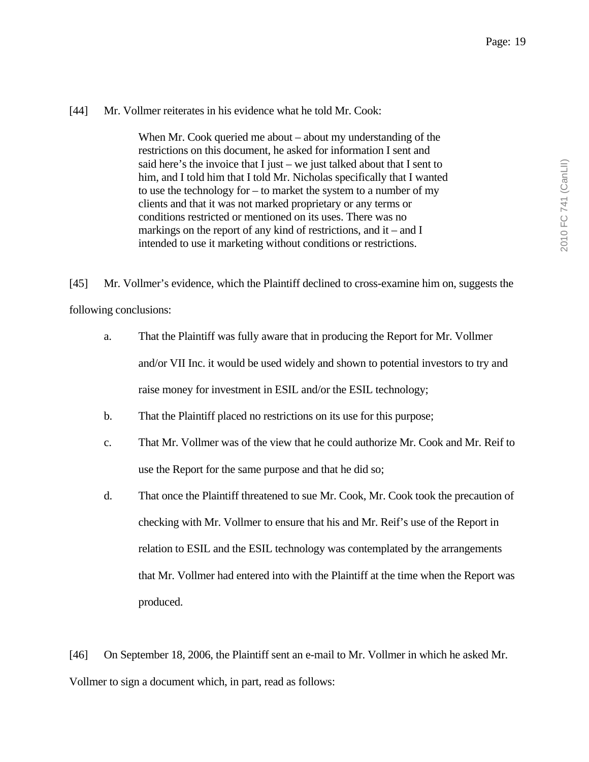### [44] Mr. Vollmer reiterates in his evidence what he told Mr. Cook:

When Mr. Cook queried me about – about my understanding of the restrictions on this document, he asked for information I sent and said here's the invoice that I just – we just talked about that I sent to him, and I told him that I told Mr. Nicholas specifically that I wanted to use the technology for – to market the system to a number of my clients and that it was not marked proprietary or any terms or conditions restricted or mentioned on its uses. There was no markings on the report of any kind of restrictions, and it – and I intended to use it marketing without conditions or restrictions.

[45] Mr. Vollmer's evidence, which the Plaintiff declined to cross-examine him on, suggests the following conclusions:

- a. That the Plaintiff was fully aware that in producing the Report for Mr. Vollmer and/or VII Inc. it would be used widely and shown to potential investors to try and raise money for investment in ESIL and/or the ESIL technology;
- b. That the Plaintiff placed no restrictions on its use for this purpose;
- c. That Mr. Vollmer was of the view that he could authorize Mr. Cook and Mr. Reif to use the Report for the same purpose and that he did so;
- d. That once the Plaintiff threatened to sue Mr. Cook, Mr. Cook took the precaution of checking with Mr. Vollmer to ensure that his and Mr. Reif's use of the Report in relation to ESIL and the ESIL technology was contemplated by the arrangements that Mr. Vollmer had entered into with the Plaintiff at the time when the Report was produced.

[46] On September 18, 2006, the Plaintiff sent an e-mail to Mr. Vollmer in which he asked Mr. Vollmer to sign a document which, in part, read as follows: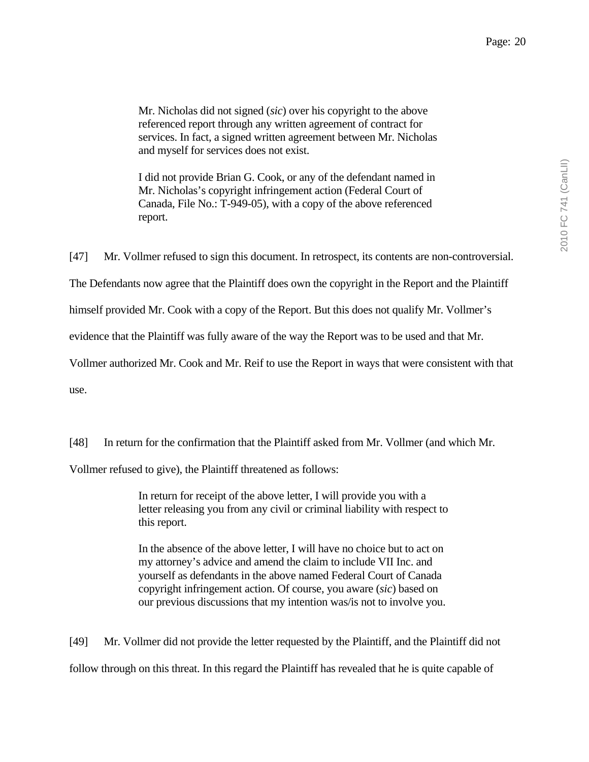Mr. Nicholas did not signed (*sic*) over his copyright to the above referenced report through any written agreement of contract for services. In fact, a signed written agreement between Mr. Nicholas and myself for services does not exist.

I did not provide Brian G. Cook, or any of the defendant named in Mr. Nicholas's copyright infringement action (Federal Court of Canada, File No.: T-949-05), with a copy of the above referenced report.

[47] Mr. Vollmer refused to sign this document. In retrospect, its contents are non-controversial.

The Defendants now agree that the Plaintiff does own the copyright in the Report and the Plaintiff

himself provided Mr. Cook with a copy of the Report. But this does not qualify Mr. Vollmer's

evidence that the Plaintiff was fully aware of the way the Report was to be used and that Mr.

Vollmer authorized Mr. Cook and Mr. Reif to use the Report in ways that were consistent with that

use.

[48] In return for the confirmation that the Plaintiff asked from Mr. Vollmer (and which Mr.

Vollmer refused to give), the Plaintiff threatened as follows:

In return for receipt of the above letter, I will provide you with a letter releasing you from any civil or criminal liability with respect to this report.

In the absence of the above letter, I will have no choice but to act on my attorney's advice and amend the claim to include VII Inc. and yourself as defendants in the above named Federal Court of Canada copyright infringement action. Of course, you aware (*sic*) based on our previous discussions that my intention was/is not to involve you.

[49] Mr. Vollmer did not provide the letter requested by the Plaintiff, and the Plaintiff did not follow through on this threat. In this regard the Plaintiff has revealed that he is quite capable of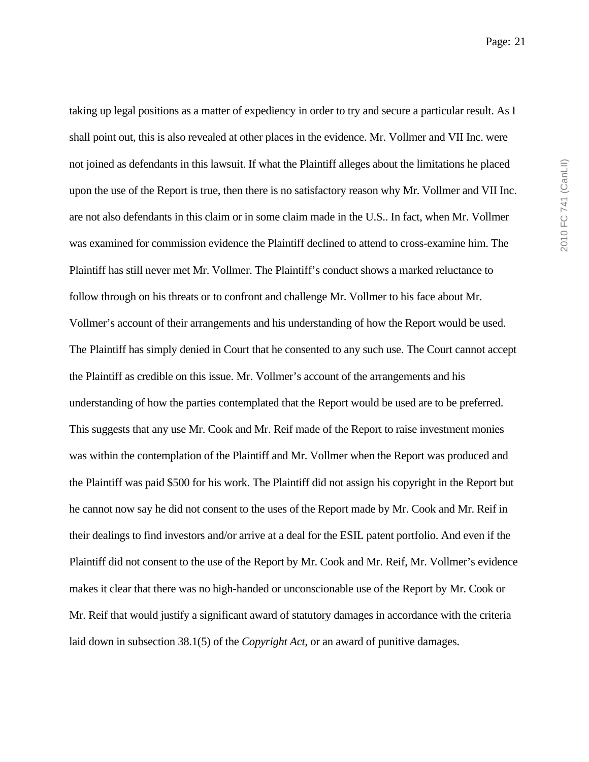taking up legal positions as a matter of expediency in order to try and secure a particular result. As I shall point out, this is also revealed at other places in the evidence. Mr. Vollmer and VII Inc. were not joined as defendants in this lawsuit. If what the Plaintiff alleges about the limitations he placed upon the use of the Report is true, then there is no satisfactory reason why Mr. Vollmer and VII Inc. are not also defendants in this claim or in some claim made in the U.S.. In fact, when Mr. Vollmer was examined for commission evidence the Plaintiff declined to attend to cross-examine him. The Plaintiff has still never met Mr. Vollmer. The Plaintiff's conduct shows a marked reluctance to follow through on his threats or to confront and challenge Mr. Vollmer to his face about Mr. Vollmer's account of their arrangements and his understanding of how the Report would be used. The Plaintiff has simply denied in Court that he consented to any such use. The Court cannot accept the Plaintiff as credible on this issue. Mr. Vollmer's account of the arrangements and his understanding of how the parties contemplated that the Report would be used are to be preferred. This suggests that any use Mr. Cook and Mr. Reif made of the Report to raise investment monies was within the contemplation of the Plaintiff and Mr. Vollmer when the Report was produced and the Plaintiff was paid \$500 for his work. The Plaintiff did not assign his copyright in the Report but he cannot now say he did not consent to the uses of the Report made by Mr. Cook and Mr. Reif in their dealings to find investors and/or arrive at a deal for the ESIL patent portfolio. And even if the Plaintiff did not consent to the use of the Report by Mr. Cook and Mr. Reif, Mr. Vollmer's evidence makes it clear that there was no high-handed or unconscionable use of the Report by Mr. Cook or Mr. Reif that would justify a significant award of statutory damages in accordance with the criteria laid down in subsection 38.1(5) of the *Copyright Act*, or an award of punitive damages.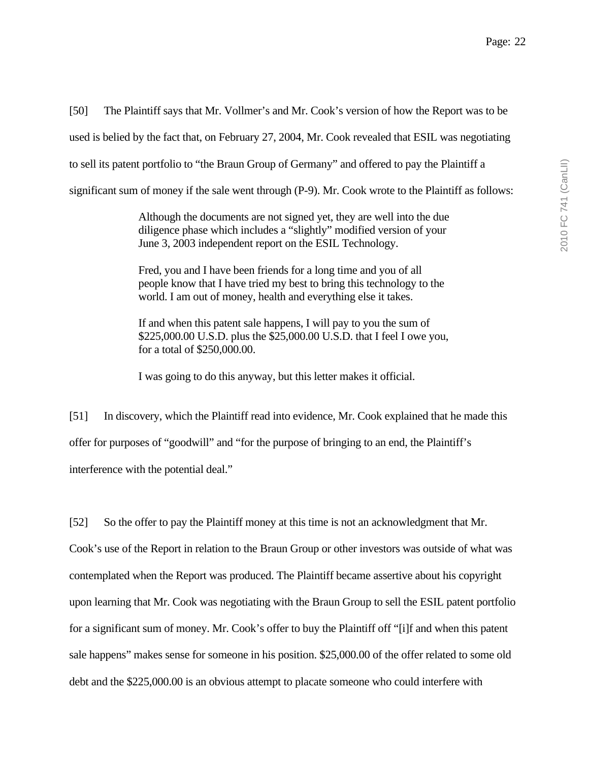[50] The Plaintiff says that Mr. Vollmer's and Mr. Cook's version of how the Report was to be used is belied by the fact that, on February 27, 2004, Mr. Cook revealed that ESIL was negotiating to sell its patent portfolio to "the Braun Group of Germany" and offered to pay the Plaintiff a significant sum of money if the sale went through (P-9). Mr. Cook wrote to the Plaintiff as follows:

> Although the documents are not signed yet, they are well into the due diligence phase which includes a "slightly" modified version of your June 3, 2003 independent report on the ESIL Technology.

Fred, you and I have been friends for a long time and you of all people know that I have tried my best to bring this technology to the world. I am out of money, health and everything else it takes.

If and when this patent sale happens, I will pay to you the sum of \$225,000.00 U.S.D. plus the \$25,000.00 U.S.D. that I feel I owe you, for a total of \$250,000.00.

I was going to do this anyway, but this letter makes it official.

[51] In discovery, which the Plaintiff read into evidence, Mr. Cook explained that he made this offer for purposes of "goodwill" and "for the purpose of bringing to an end, the Plaintiff's interference with the potential deal."

[52] So the offer to pay the Plaintiff money at this time is not an acknowledgment that Mr. Cook's use of the Report in relation to the Braun Group or other investors was outside of what was contemplated when the Report was produced. The Plaintiff became assertive about his copyright upon learning that Mr. Cook was negotiating with the Braun Group to sell the ESIL patent portfolio for a significant sum of money. Mr. Cook's offer to buy the Plaintiff off "[i]f and when this patent sale happens" makes sense for someone in his position. \$25,000.00 of the offer related to some old debt and the \$225,000.00 is an obvious attempt to placate someone who could interfere with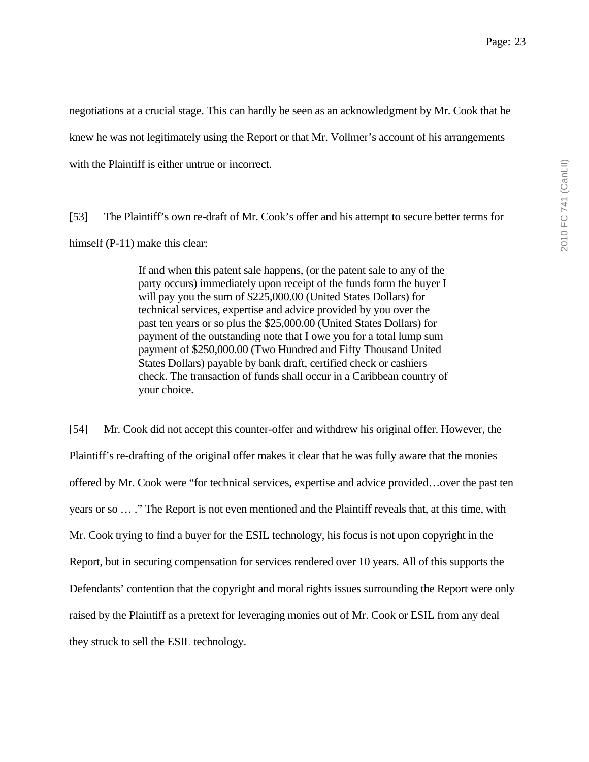negotiations at a crucial stage. This can hardly be seen as an acknowledgment by Mr. Cook that he knew he was not legitimately using the Report or that Mr. Vollmer's account of his arrangements with the Plaintiff is either untrue or incorrect.

[53] The Plaintiff's own re-draft of Mr. Cook's offer and his attempt to secure better terms for himself (P-11) make this clear:

> If and when this patent sale happens, (or the patent sale to any of the party occurs) immediately upon receipt of the funds form the buyer I will pay you the sum of \$225,000.00 (United States Dollars) for technical services, expertise and advice provided by you over the past ten years or so plus the \$25,000.00 (United States Dollars) for payment of the outstanding note that I owe you for a total lump sum payment of \$250,000.00 (Two Hundred and Fifty Thousand United States Dollars) payable by bank draft, certified check or cashiers check. The transaction of funds shall occur in a Caribbean country of your choice.

[54] Mr. Cook did not accept this counter-offer and withdrew his original offer. However, the Plaintiff's re-drafting of the original offer makes it clear that he was fully aware that the monies offered by Mr. Cook were "for technical services, expertise and advice provided…over the past ten years or so … ." The Report is not even mentioned and the Plaintiff reveals that, at this time, with Mr. Cook trying to find a buyer for the ESIL technology, his focus is not upon copyright in the Report, but in securing compensation for services rendered over 10 years. All of this supports the Defendants' contention that the copyright and moral rights issues surrounding the Report were only raised by the Plaintiff as a pretext for leveraging monies out of Mr. Cook or ESIL from any deal they struck to sell the ESIL technology.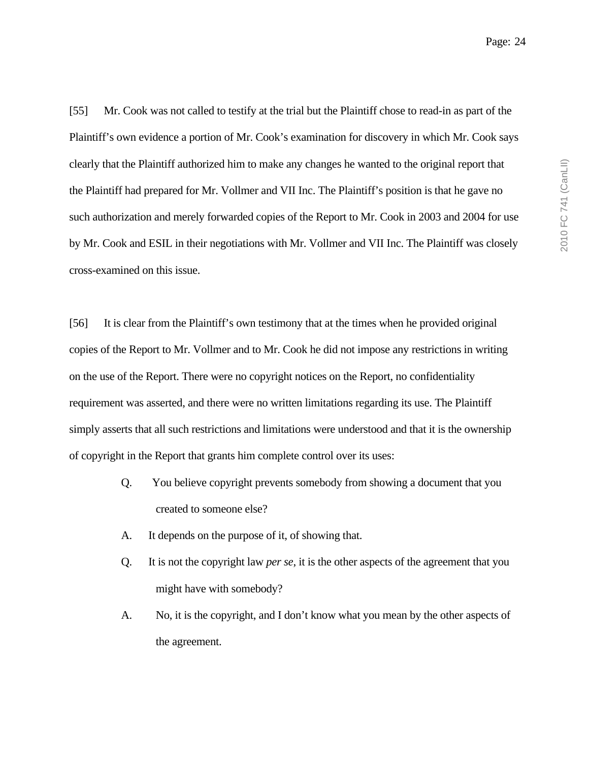[55] Mr. Cook was not called to testify at the trial but the Plaintiff chose to read-in as part of the Plaintiff's own evidence a portion of Mr. Cook's examination for discovery in which Mr. Cook says clearly that the Plaintiff authorized him to make any changes he wanted to the original report that the Plaintiff had prepared for Mr. Vollmer and VII Inc. The Plaintiff's position is that he gave no such authorization and merely forwarded copies of the Report to Mr. Cook in 2003 and 2004 for use by Mr. Cook and ESIL in their negotiations with Mr. Vollmer and VII Inc. The Plaintiff was closely cross-examined on this issue.

[56] It is clear from the Plaintiff's own testimony that at the times when he provided original copies of the Report to Mr. Vollmer and to Mr. Cook he did not impose any restrictions in writing on the use of the Report. There were no copyright notices on the Report, no confidentiality requirement was asserted, and there were no written limitations regarding its use. The Plaintiff simply asserts that all such restrictions and limitations were understood and that it is the ownership of copyright in the Report that grants him complete control over its uses:

- Q. You believe copyright prevents somebody from showing a document that you created to someone else?
- A. It depends on the purpose of it, of showing that.
- Q. It is not the copyright law *per se*, it is the other aspects of the agreement that you might have with somebody?
- A. No, it is the copyright, and I don't know what you mean by the other aspects of the agreement.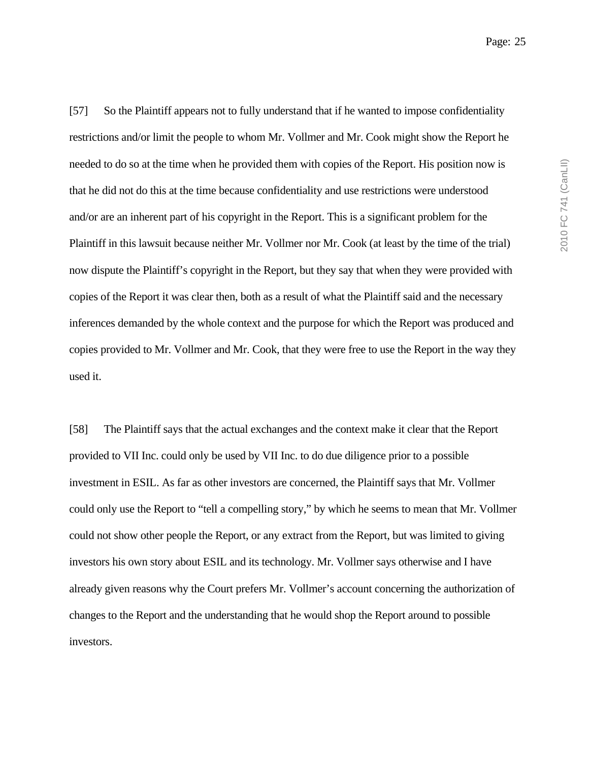Page: 25

[57] So the Plaintiff appears not to fully understand that if he wanted to impose confidentiality restrictions and/or limit the people to whom Mr. Vollmer and Mr. Cook might show the Report he needed to do so at the time when he provided them with copies of the Report. His position now is that he did not do this at the time because confidentiality and use restrictions were understood and/or are an inherent part of his copyright in the Report. This is a significant problem for the Plaintiff in this lawsuit because neither Mr. Vollmer nor Mr. Cook (at least by the time of the trial) now dispute the Plaintiff's copyright in the Report, but they say that when they were provided with copies of the Report it was clear then, both as a result of what the Plaintiff said and the necessary inferences demanded by the whole context and the purpose for which the Report was produced and copies provided to Mr. Vollmer and Mr. Cook, that they were free to use the Report in the way they used it.

[58] The Plaintiff says that the actual exchanges and the context make it clear that the Report provided to VII Inc. could only be used by VII Inc. to do due diligence prior to a possible investment in ESIL. As far as other investors are concerned, the Plaintiff says that Mr. Vollmer could only use the Report to "tell a compelling story," by which he seems to mean that Mr. Vollmer could not show other people the Report, or any extract from the Report, but was limited to giving investors his own story about ESIL and its technology. Mr. Vollmer says otherwise and I have already given reasons why the Court prefers Mr. Vollmer's account concerning the authorization of changes to the Report and the understanding that he would shop the Report around to possible investors.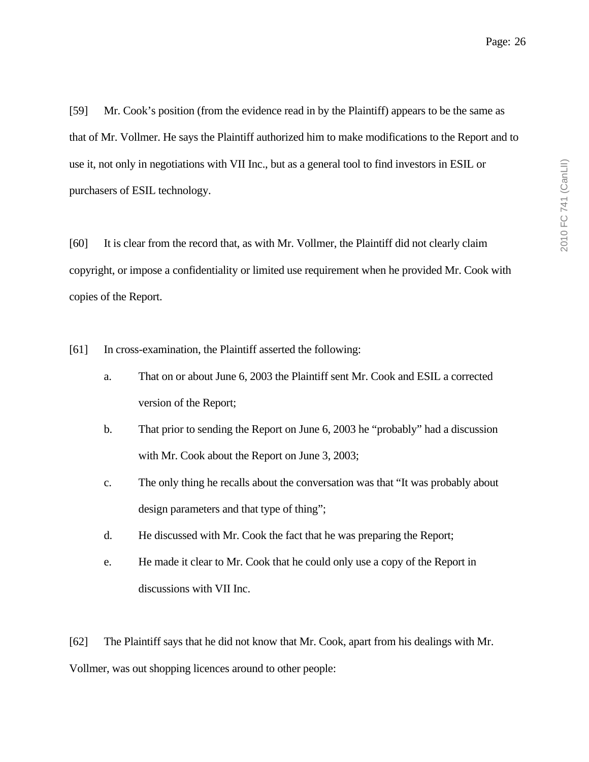[59] Mr. Cook's position (from the evidence read in by the Plaintiff) appears to be the same as that of Mr. Vollmer. He says the Plaintiff authorized him to make modifications to the Report and to use it, not only in negotiations with VII Inc., but as a general tool to find investors in ESIL or purchasers of ESIL technology.

[60] It is clear from the record that, as with Mr. Vollmer, the Plaintiff did not clearly claim copyright, or impose a confidentiality or limited use requirement when he provided Mr. Cook with copies of the Report.

[61] In cross-examination, the Plaintiff asserted the following:

- a. That on or about June 6, 2003 the Plaintiff sent Mr. Cook and ESIL a corrected version of the Report;
- b. That prior to sending the Report on June 6, 2003 he "probably" had a discussion with Mr. Cook about the Report on June 3, 2003;
- c. The only thing he recalls about the conversation was that "It was probably about design parameters and that type of thing";
- d. He discussed with Mr. Cook the fact that he was preparing the Report;
- e. He made it clear to Mr. Cook that he could only use a copy of the Report in discussions with VII Inc.

[62] The Plaintiff says that he did not know that Mr. Cook, apart from his dealings with Mr. Vollmer, was out shopping licences around to other people: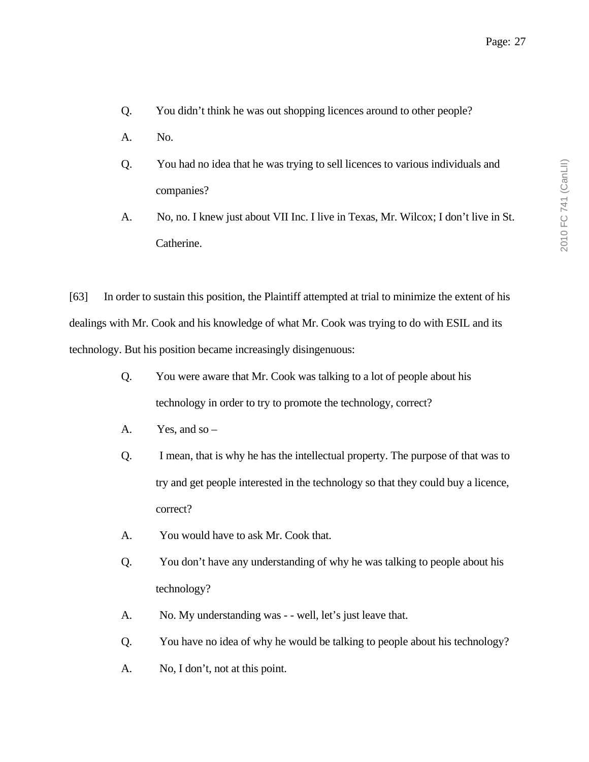- Q. You didn't think he was out shopping licences around to other people?
- A. No.
- Q. You had no idea that he was trying to sell licences to various individuals and companies?
- A. No, no. I knew just about VII Inc. I live in Texas, Mr. Wilcox; I don't live in St. Catherine.

[63] In order to sustain this position, the Plaintiff attempted at trial to minimize the extent of his dealings with Mr. Cook and his knowledge of what Mr. Cook was trying to do with ESIL and its technology. But his position became increasingly disingenuous:

- Q. You were aware that Mr. Cook was talking to a lot of people about his technology in order to try to promote the technology, correct?
- A. Yes, and so  $-$
- Q. I mean, that is why he has the intellectual property. The purpose of that was to try and get people interested in the technology so that they could buy a licence, correct?
- A. You would have to ask Mr. Cook that.
- Q. You don't have any understanding of why he was talking to people about his technology?
- A. No. My understanding was - well, let's just leave that.
- Q. You have no idea of why he would be talking to people about his technology?
- A. No, I don't, not at this point.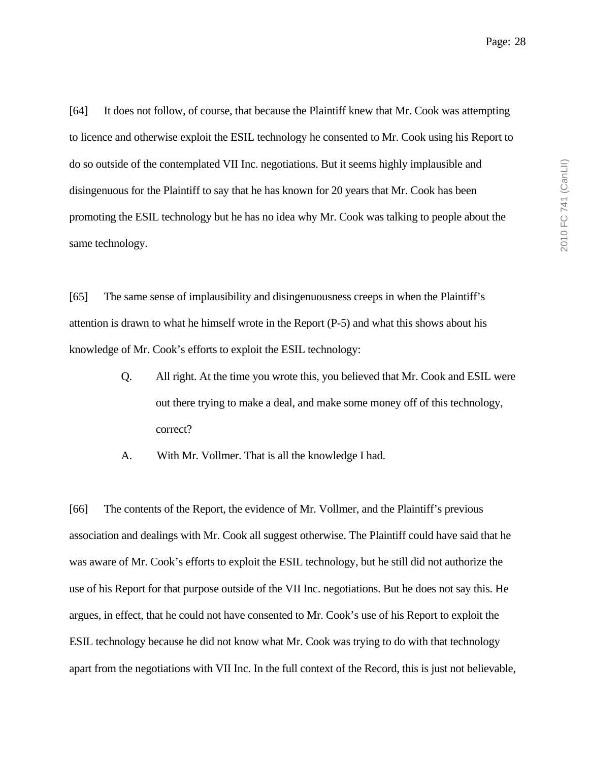[64] It does not follow, of course, that because the Plaintiff knew that Mr. Cook was attempting to licence and otherwise exploit the ESIL technology he consented to Mr. Cook using his Report to do so outside of the contemplated VII Inc. negotiations. But it seems highly implausible and disingenuous for the Plaintiff to say that he has known for 20 years that Mr. Cook has been promoting the ESIL technology but he has no idea why Mr. Cook was talking to people about the same technology.

[65] The same sense of implausibility and disingenuousness creeps in when the Plaintiff's attention is drawn to what he himself wrote in the Report (P-5) and what this shows about his knowledge of Mr. Cook's efforts to exploit the ESIL technology:

- Q. All right. At the time you wrote this, you believed that Mr. Cook and ESIL were out there trying to make a deal, and make some money off of this technology, correct?
- A. With Mr. Vollmer. That is all the knowledge I had.

[66] The contents of the Report, the evidence of Mr. Vollmer, and the Plaintiff's previous association and dealings with Mr. Cook all suggest otherwise. The Plaintiff could have said that he was aware of Mr. Cook's efforts to exploit the ESIL technology, but he still did not authorize the use of his Report for that purpose outside of the VII Inc. negotiations. But he does not say this. He argues, in effect, that he could not have consented to Mr. Cook's use of his Report to exploit the ESIL technology because he did not know what Mr. Cook was trying to do with that technology apart from the negotiations with VII Inc. In the full context of the Record, this is just not believable,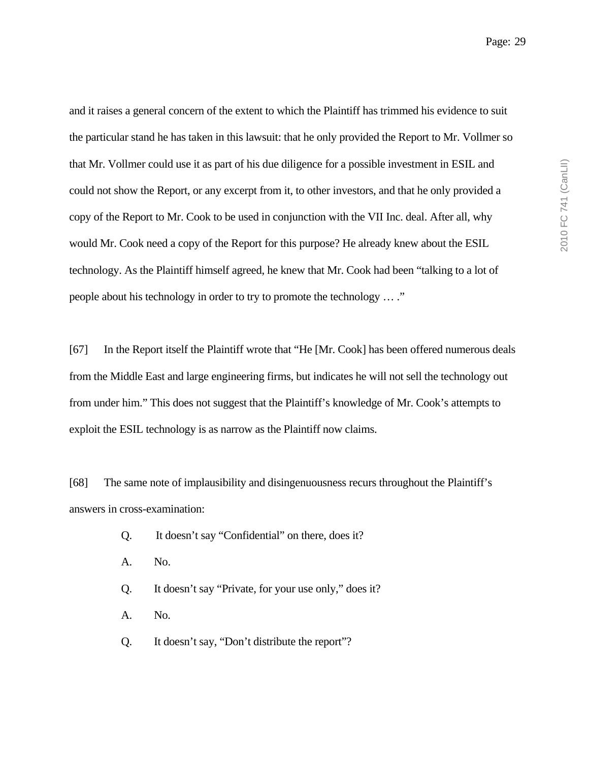and it raises a general concern of the extent to which the Plaintiff has trimmed his evidence to suit the particular stand he has taken in this lawsuit: that he only provided the Report to Mr. Vollmer so that Mr. Vollmer could use it as part of his due diligence for a possible investment in ESIL and could not show the Report, or any excerpt from it, to other investors, and that he only provided a copy of the Report to Mr. Cook to be used in conjunction with the VII Inc. deal. After all, why would Mr. Cook need a copy of the Report for this purpose? He already knew about the ESIL technology. As the Plaintiff himself agreed, he knew that Mr. Cook had been "talking to a lot of people about his technology in order to try to promote the technology … ."

[67] In the Report itself the Plaintiff wrote that "He [Mr. Cook] has been offered numerous deals from the Middle East and large engineering firms, but indicates he will not sell the technology out from under him." This does not suggest that the Plaintiff's knowledge of Mr. Cook's attempts to exploit the ESIL technology is as narrow as the Plaintiff now claims.

[68] The same note of implausibility and disingenuousness recurs throughout the Plaintiff's answers in cross-examination:

- Q. It doesn't say "Confidential" on there, does it?
- A. No.
- Q. It doesn't say "Private, for your use only," does it?
- A. No.
- Q. It doesn't say, "Don't distribute the report"?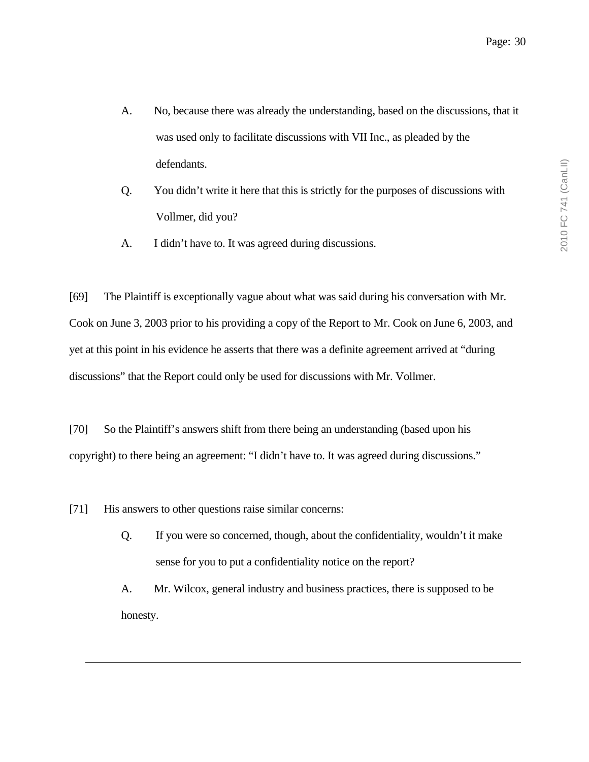- A. No, because there was already the understanding, based on the discussions, that it was used only to facilitate discussions with VII Inc., as pleaded by the defendants.
- Q. You didn't write it here that this is strictly for the purposes of discussions with Vollmer, did you?
- A. I didn't have to. It was agreed during discussions.

[69] The Plaintiff is exceptionally vague about what was said during his conversation with Mr. Cook on June 3, 2003 prior to his providing a copy of the Report to Mr. Cook on June 6, 2003, and yet at this point in his evidence he asserts that there was a definite agreement arrived at "during discussions" that the Report could only be used for discussions with Mr. Vollmer.

[70] So the Plaintiff's answers shift from there being an understanding (based upon his copyright) to there being an agreement: "I didn't have to. It was agreed during discussions."

[71] His answers to other questions raise similar concerns:

Q. If you were so concerned, though, about the confidentiality, wouldn't it make sense for you to put a confidentiality notice on the report?

A. Mr. Wilcox, general industry and business practices, there is supposed to be honesty.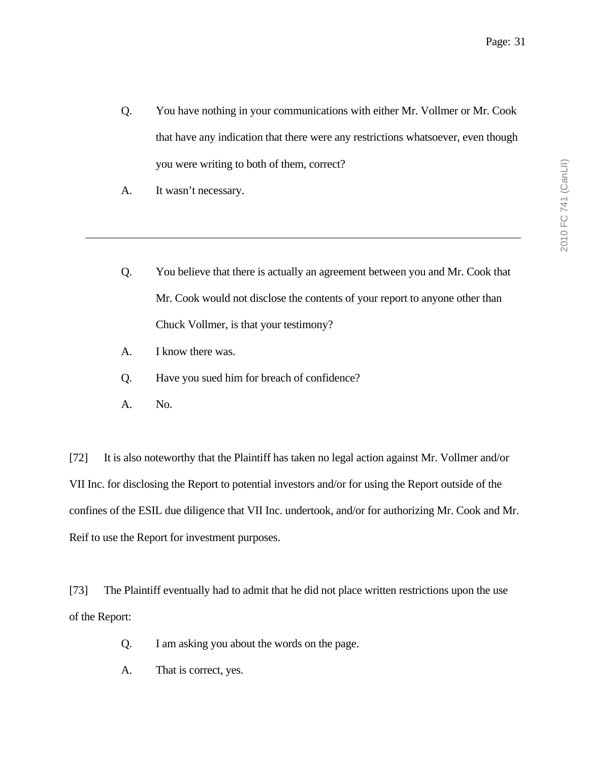- Q. You have nothing in your communications with either Mr. Vollmer or Mr. Cook that have any indication that there were any restrictions whatsoever, even though you were writing to both of them, correct?
- A. It wasn't necessary.
- Q. You believe that there is actually an agreement between you and Mr. Cook that Mr. Cook would not disclose the contents of your report to anyone other than Chuck Vollmer, is that your testimony?
- A. I know there was.
- Q. Have you sued him for breach of confidence?
- A. No.

[72] It is also noteworthy that the Plaintiff has taken no legal action against Mr. Vollmer and/or VII Inc. for disclosing the Report to potential investors and/or for using the Report outside of the confines of the ESIL due diligence that VII Inc. undertook, and/or for authorizing Mr. Cook and Mr. Reif to use the Report for investment purposes.

[73] The Plaintiff eventually had to admit that he did not place written restrictions upon the use of the Report:

- Q. I am asking you about the words on the page.
- A. That is correct, yes.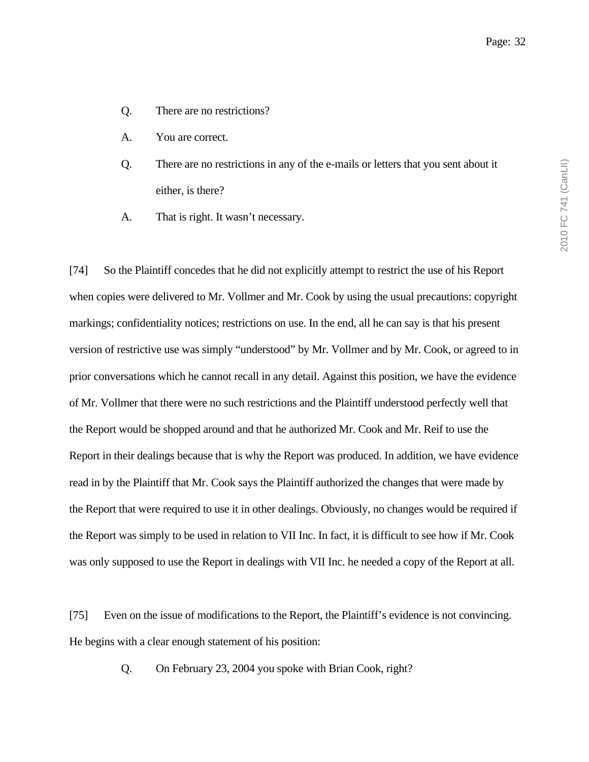- Q. There are no restrictions?
- A. You are correct.
- Q. There are no restrictions in any of the e-mails or letters that you sent about it either, is there?
- A. That is right. It wasn't necessary.

[74] So the Plaintiff concedes that he did not explicitly attempt to restrict the use of his Report when copies were delivered to Mr. Vollmer and Mr. Cook by using the usual precautions: copyright markings; confidentiality notices; restrictions on use. In the end, all he can say is that his present version of restrictive use was simply "understood" by Mr. Vollmer and by Mr. Cook, or agreed to in prior conversations which he cannot recall in any detail. Against this position, we have the evidence of Mr. Vollmer that there were no such restrictions and the Plaintiff understood perfectly well that the Report would be shopped around and that he authorized Mr. Cook and Mr. Reif to use the Report in their dealings because that is why the Report was produced. In addition, we have evidence read in by the Plaintiff that Mr. Cook says the Plaintiff authorized the changes that were made by the Report that were required to use it in other dealings. Obviously, no changes would be required if the Report was simply to be used in relation to VII Inc. In fact, it is difficult to see how if Mr. Cook was only supposed to use the Report in dealings with VII Inc. he needed a copy of the Report at all.

[75] Even on the issue of modifications to the Report, the Plaintiff's evidence is not convincing. He begins with a clear enough statement of his position:

Q. On February 23, 2004 you spoke with Brian Cook, right?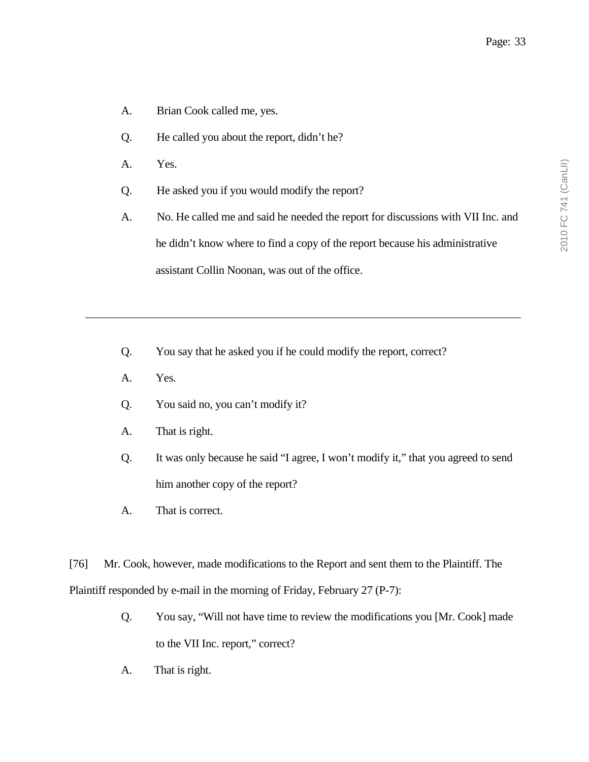- A. Brian Cook called me, yes.
- Q. He called you about the report, didn't he?
- A. Yes.
- Q. He asked you if you would modify the report?
- A. No. He called me and said he needed the report for discussions with VII Inc. and he didn't know where to find a copy of the report because his administrative assistant Collin Noonan, was out of the office.
- Q. You say that he asked you if he could modify the report, correct?
- A. Yes.
- Q. You said no, you can't modify it?
- A. That is right.
- Q. It was only because he said "I agree, I won't modify it," that you agreed to send him another copy of the report?
- A. That is correct.

[76] Mr. Cook, however, made modifications to the Report and sent them to the Plaintiff. The Plaintiff responded by e-mail in the morning of Friday, February 27 (P-7):

- Q. You say, "Will not have time to review the modifications you [Mr. Cook] made to the VII Inc. report," correct?
- A. That is right.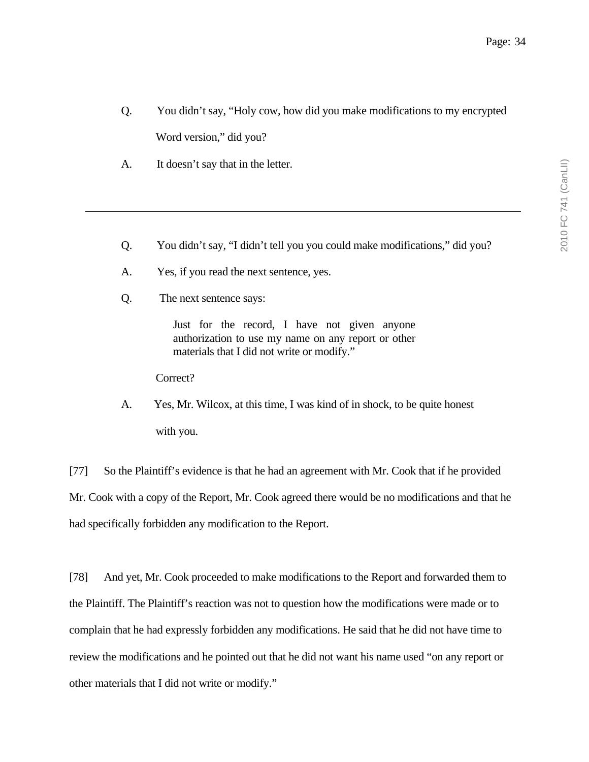- Q. You didn't say, "Holy cow, how did you make modifications to my encrypted Word version," did you?
- A. It doesn't say that in the letter.
- Q. You didn't say, "I didn't tell you you could make modifications," did you?
- A. Yes, if you read the next sentence, yes.
- Q. The next sentence says:

Just for the record, I have not given anyone authorization to use my name on any report or other materials that I did not write or modify."

Correct?

A. Yes, Mr. Wilcox, at this time, I was kind of in shock, to be quite honest with you.

[77] So the Plaintiff's evidence is that he had an agreement with Mr. Cook that if he provided Mr. Cook with a copy of the Report, Mr. Cook agreed there would be no modifications and that he had specifically forbidden any modification to the Report.

[78] And yet, Mr. Cook proceeded to make modifications to the Report and forwarded them to the Plaintiff. The Plaintiff's reaction was not to question how the modifications were made or to complain that he had expressly forbidden any modifications. He said that he did not have time to review the modifications and he pointed out that he did not want his name used "on any report or other materials that I did not write or modify."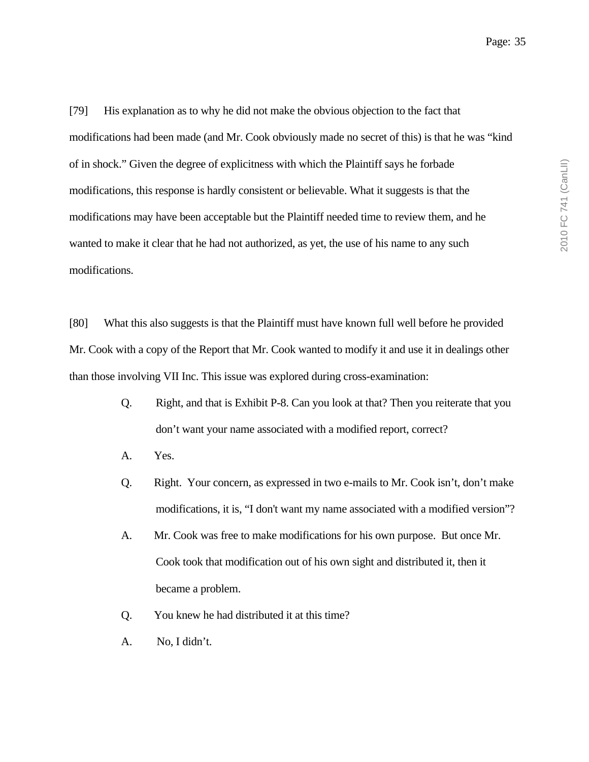[79] His explanation as to why he did not make the obvious objection to the fact that modifications had been made (and Mr. Cook obviously made no secret of this) is that he was "kind of in shock." Given the degree of explicitness with which the Plaintiff says he forbade modifications, this response is hardly consistent or believable. What it suggests is that the modifications may have been acceptable but the Plaintiff needed time to review them, and he wanted to make it clear that he had not authorized, as yet, the use of his name to any such modifications.

[80] What this also suggests is that the Plaintiff must have known full well before he provided Mr. Cook with a copy of the Report that Mr. Cook wanted to modify it and use it in dealings other than those involving VII Inc. This issue was explored during cross-examination:

- Q. Right, and that is Exhibit P-8. Can you look at that? Then you reiterate that you don't want your name associated with a modified report, correct?
- A. Yes.
- Q. Right. Your concern, as expressed in two e-mails to Mr. Cook isn't, don't make modifications, it is, "I don't want my name associated with a modified version"?
- A. Mr. Cook was free to make modifications for his own purpose. But once Mr. Cook took that modification out of his own sight and distributed it, then it became a problem.
- Q. You knew he had distributed it at this time?
- A. No, I didn't.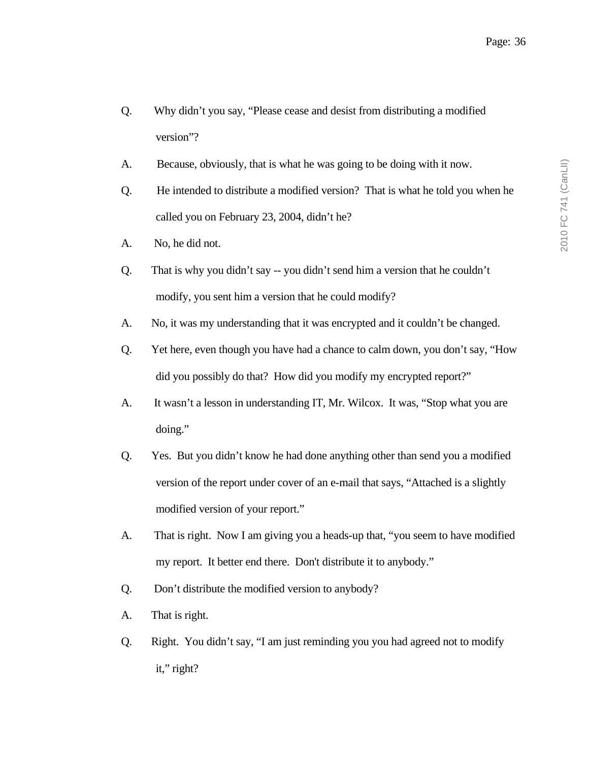- Q. Why didn't you say, "Please cease and desist from distributing a modified version"?
- A. Because, obviously, that is what he was going to be doing with it now.
- Q. He intended to distribute a modified version? That is what he told you when he called you on February 23, 2004, didn't he?
- A. No, he did not.
- Q. That is why you didn't say -- you didn't send him a version that he couldn't modify, you sent him a version that he could modify?
- A. No, it was my understanding that it was encrypted and it couldn't be changed.
- Q. Yet here, even though you have had a chance to calm down, you don't say, "How did you possibly do that? How did you modify my encrypted report?"
- A. It wasn't a lesson in understanding IT, Mr. Wilcox. It was, "Stop what you are doing."
- Q. Yes. But you didn't know he had done anything other than send you a modified version of the report under cover of an e-mail that says, "Attached is a slightly modified version of your report."
- A. That is right. Now I am giving you a heads-up that, "you seem to have modified my report. It better end there. Don't distribute it to anybody."
- Q. Don't distribute the modified version to anybody?
- A. That is right.
- Q. Right. You didn't say, "I am just reminding you you had agreed not to modify it," right?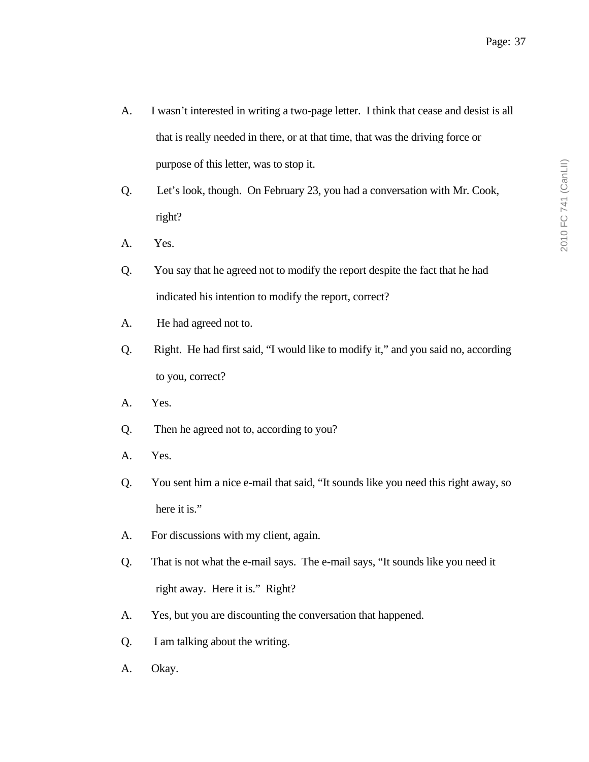- A. I wasn't interested in writing a two-page letter. I think that cease and desist is all that is really needed in there, or at that time, that was the driving force or purpose of this letter, was to stop it.
- Q. Let's look, though. On February 23, you had a conversation with Mr. Cook, right?
- A. Yes.
- Q. You say that he agreed not to modify the report despite the fact that he had indicated his intention to modify the report, correct?
- A. He had agreed not to.
- Q. Right. He had first said, "I would like to modify it," and you said no, according to you, correct?
- A. Yes.
- Q. Then he agreed not to, according to you?
- A. Yes.
- Q. You sent him a nice e-mail that said, "It sounds like you need this right away, so here it is."
- A. For discussions with my client, again.
- Q. That is not what the e-mail says. The e-mail says, "It sounds like you need it right away. Here it is." Right?
- A. Yes, but you are discounting the conversation that happened.
- Q. I am talking about the writing.
- A. Okay.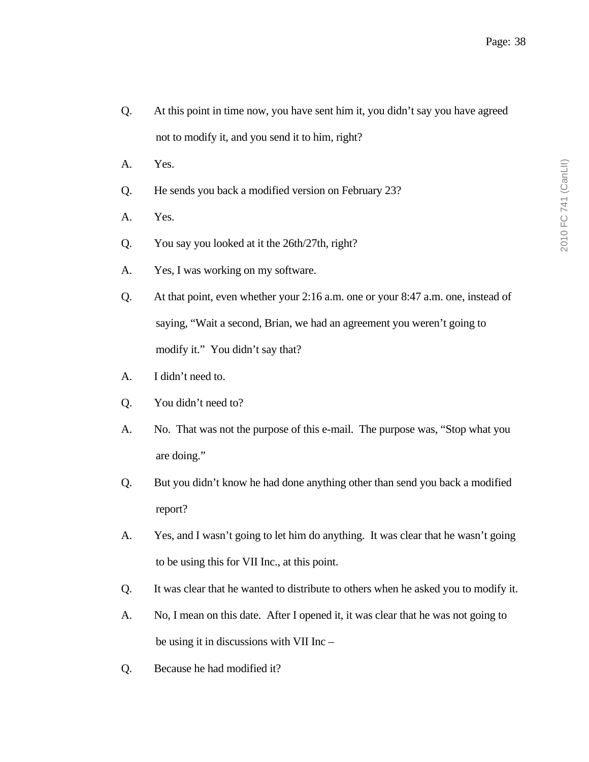- Q. At this point in time now, you have sent him it, you didn't say you have agreed not to modify it, and you send it to him, right?
- A. Yes.
- Q. He sends you back a modified version on February 23?
- A. Yes.
- Q. You say you looked at it the 26th/27th, right?
- A. Yes, I was working on my software.
- Q. At that point, even whether your 2:16 a.m. one or your 8:47 a.m. one, instead of saying, "Wait a second, Brian, we had an agreement you weren't going to modify it." You didn't say that?
- A. I didn't need to.
- Q. You didn't need to?
- A. No. That was not the purpose of this e-mail. The purpose was, "Stop what you are doing."
- Q. But you didn't know he had done anything other than send you back a modified report?
- A. Yes, and I wasn't going to let him do anything. It was clear that he wasn't going to be using this for VII Inc., at this point.
- Q. It was clear that he wanted to distribute to others when he asked you to modify it.
- A. No, I mean on this date. After I opened it, it was clear that he was not going to be using it in discussions with VII Inc –
- Q. Because he had modified it?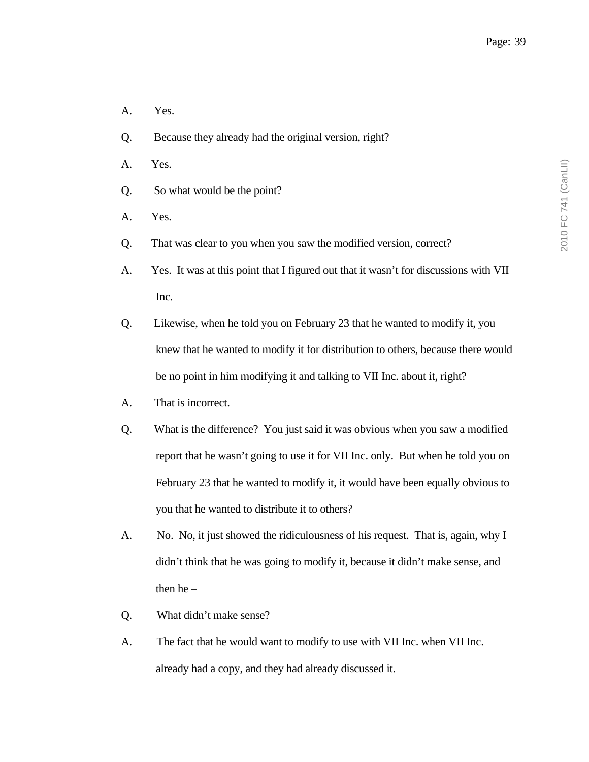- A. Yes.
- Q. Because they already had the original version, right?
- A. Yes.
- Q. So what would be the point?
- A. Yes.
- Q. That was clear to you when you saw the modified version, correct?
- A. Yes. It was at this point that I figured out that it wasn't for discussions with VII Inc.
- Q. Likewise, when he told you on February 23 that he wanted to modify it, you knew that he wanted to modify it for distribution to others, because there would be no point in him modifying it and talking to VII Inc. about it, right?
- A. That is incorrect.
- Q. What is the difference? You just said it was obvious when you saw a modified report that he wasn't going to use it for VII Inc. only. But when he told you on February 23 that he wanted to modify it, it would have been equally obvious to you that he wanted to distribute it to others?
- A. No. No, it just showed the ridiculousness of his request. That is, again, why I didn't think that he was going to modify it, because it didn't make sense, and then  $he -$
- Q. What didn't make sense?
- A. The fact that he would want to modify to use with VII Inc. when VII Inc. already had a copy, and they had already discussed it.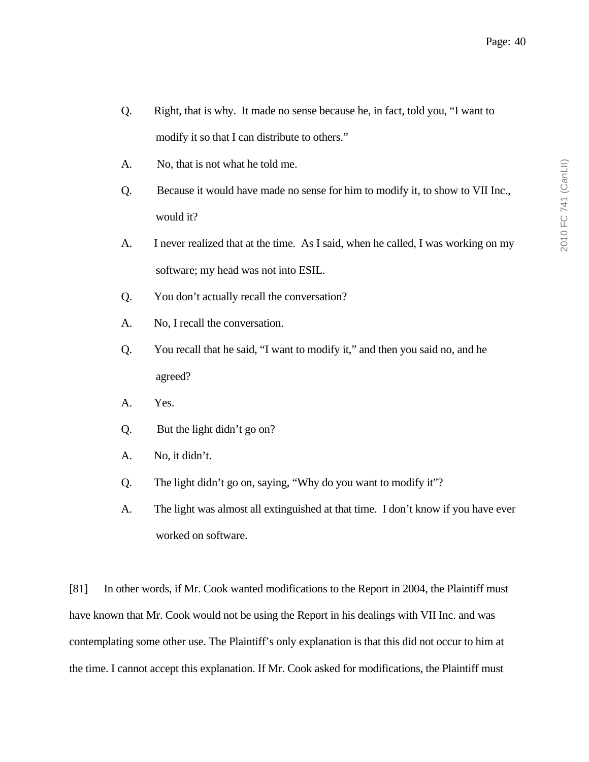- Q. Right, that is why. It made no sense because he, in fact, told you, "I want to modify it so that I can distribute to others."
- A. No, that is not what he told me.
- Q. Because it would have made no sense for him to modify it, to show to VII Inc., would it?
- A. I never realized that at the time. As I said, when he called, I was working on my software; my head was not into ESIL.
- Q. You don't actually recall the conversation?
- A. No, I recall the conversation.
- Q. You recall that he said, "I want to modify it," and then you said no, and he agreed?
- A. Yes.
- Q. But the light didn't go on?
- A. No, it didn't.
- Q. The light didn't go on, saying, "Why do you want to modify it"?
- A. The light was almost all extinguished at that time. I don't know if you have ever worked on software.

[81] In other words, if Mr. Cook wanted modifications to the Report in 2004, the Plaintiff must have known that Mr. Cook would not be using the Report in his dealings with VII Inc. and was contemplating some other use. The Plaintiff's only explanation is that this did not occur to him at the time. I cannot accept this explanation. If Mr. Cook asked for modifications, the Plaintiff must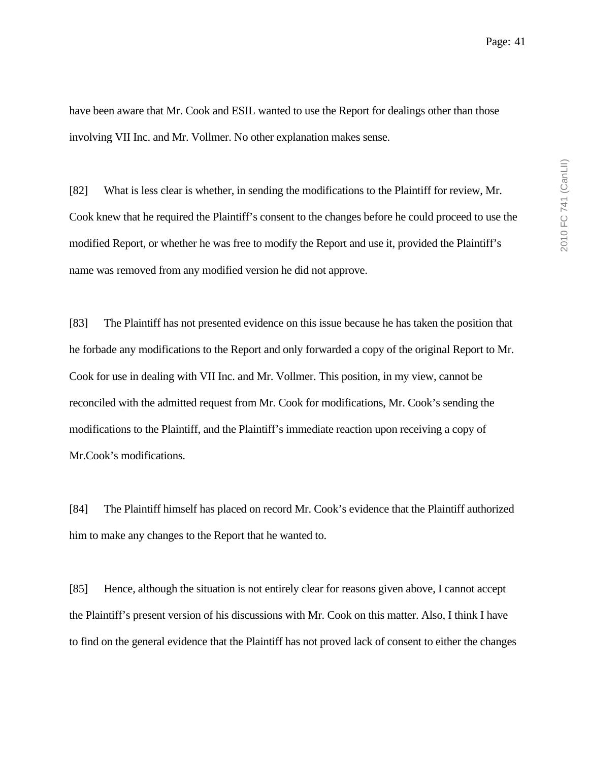have been aware that Mr. Cook and ESIL wanted to use the Report for dealings other than those involving VII Inc. and Mr. Vollmer. No other explanation makes sense.

[82] What is less clear is whether, in sending the modifications to the Plaintiff for review, Mr. Cook knew that he required the Plaintiff's consent to the changes before he could proceed to use the modified Report, or whether he was free to modify the Report and use it, provided the Plaintiff's name was removed from any modified version he did not approve.

[83] The Plaintiff has not presented evidence on this issue because he has taken the position that he forbade any modifications to the Report and only forwarded a copy of the original Report to Mr. Cook for use in dealing with VII Inc. and Mr. Vollmer. This position, in my view, cannot be reconciled with the admitted request from Mr. Cook for modifications, Mr. Cook's sending the modifications to the Plaintiff, and the Plaintiff's immediate reaction upon receiving a copy of Mr.Cook's modifications.

[84] The Plaintiff himself has placed on record Mr. Cook's evidence that the Plaintiff authorized him to make any changes to the Report that he wanted to.

[85] Hence, although the situation is not entirely clear for reasons given above, I cannot accept the Plaintiff's present version of his discussions with Mr. Cook on this matter. Also, I think I have to find on the general evidence that the Plaintiff has not proved lack of consent to either the changes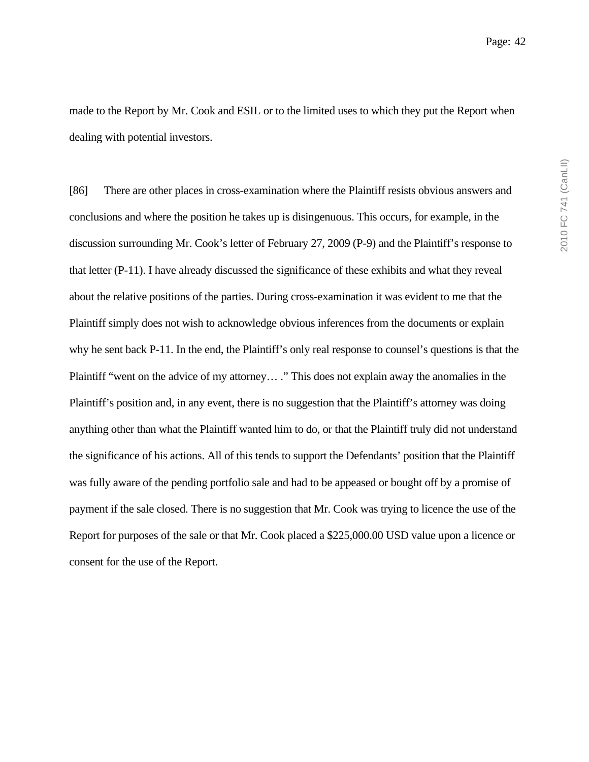made to the Report by Mr. Cook and ESIL or to the limited uses to which they put the Report when dealing with potential investors.

[86] There are other places in cross-examination where the Plaintiff resists obvious answers and conclusions and where the position he takes up is disingenuous. This occurs, for example, in the discussion surrounding Mr. Cook's letter of February 27, 2009 (P-9) and the Plaintiff's response to that letter (P-11). I have already discussed the significance of these exhibits and what they reveal about the relative positions of the parties. During cross-examination it was evident to me that the Plaintiff simply does not wish to acknowledge obvious inferences from the documents or explain why he sent back P-11. In the end, the Plaintiff's only real response to counsel's questions is that the Plaintiff "went on the advice of my attorney… ." This does not explain away the anomalies in the Plaintiff's position and, in any event, there is no suggestion that the Plaintiff's attorney was doing anything other than what the Plaintiff wanted him to do, or that the Plaintiff truly did not understand the significance of his actions. All of this tends to support the Defendants' position that the Plaintiff was fully aware of the pending portfolio sale and had to be appeased or bought off by a promise of payment if the sale closed. There is no suggestion that Mr. Cook was trying to licence the use of the Report for purposes of the sale or that Mr. Cook placed a \$225,000.00 USD value upon a licence or consent for the use of the Report.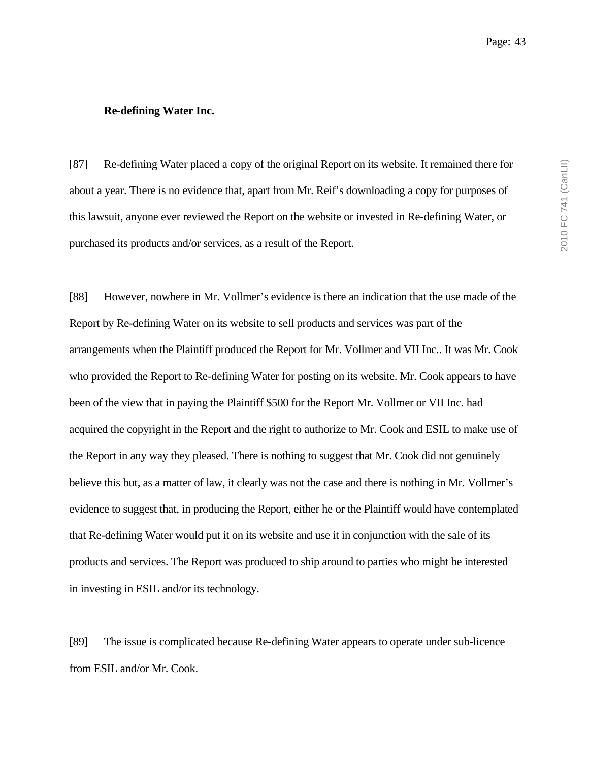#### **Re-defining Water Inc.**

[87] Re-defining Water placed a copy of the original Report on its website. It remained there for about a year. There is no evidence that, apart from Mr. Reif's downloading a copy for purposes of this lawsuit, anyone ever reviewed the Report on the website or invested in Re-defining Water, or purchased its products and/or services, as a result of the Report.

[88] However, nowhere in Mr. Vollmer's evidence is there an indication that the use made of the Report by Re-defining Water on its website to sell products and services was part of the arrangements when the Plaintiff produced the Report for Mr. Vollmer and VII Inc.. It was Mr. Cook who provided the Report to Re-defining Water for posting on its website. Mr. Cook appears to have been of the view that in paying the Plaintiff \$500 for the Report Mr. Vollmer or VII Inc. had acquired the copyright in the Report and the right to authorize to Mr. Cook and ESIL to make use of the Report in any way they pleased. There is nothing to suggest that Mr. Cook did not genuinely believe this but, as a matter of law, it clearly was not the case and there is nothing in Mr. Vollmer's evidence to suggest that, in producing the Report, either he or the Plaintiff would have contemplated that Re-defining Water would put it on its website and use it in conjunction with the sale of its products and services. The Report was produced to ship around to parties who might be interested in investing in ESIL and/or its technology.

[89] The issue is complicated because Re-defining Water appears to operate under sub-licence from ESIL and/or Mr. Cook.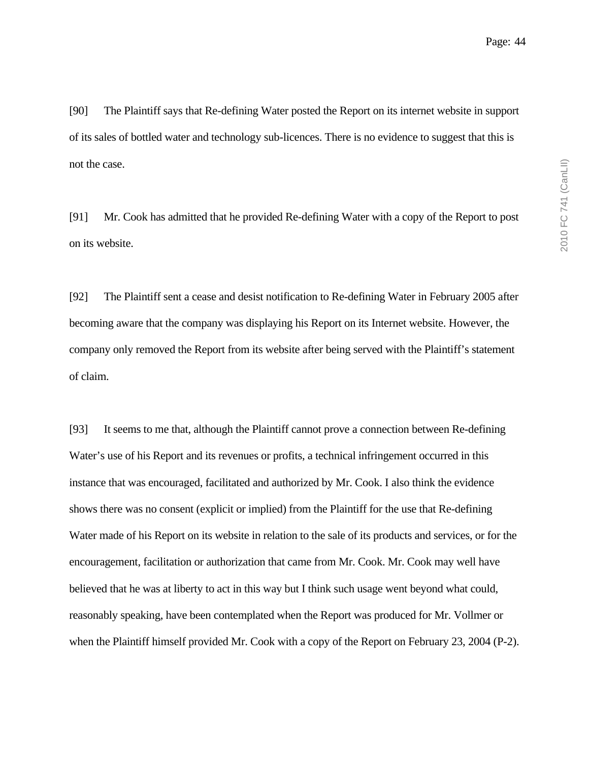[90] The Plaintiff says that Re-defining Water posted the Report on its internet website in support of its sales of bottled water and technology sub-licences. There is no evidence to suggest that this is not the case.

[91] Mr. Cook has admitted that he provided Re-defining Water with a copy of the Report to post on its website.

[92] The Plaintiff sent a cease and desist notification to Re-defining Water in February 2005 after becoming aware that the company was displaying his Report on its Internet website. However, the company only removed the Report from its website after being served with the Plaintiff's statement of claim.

[93] It seems to me that, although the Plaintiff cannot prove a connection between Re-defining Water's use of his Report and its revenues or profits, a technical infringement occurred in this instance that was encouraged, facilitated and authorized by Mr. Cook. I also think the evidence shows there was no consent (explicit or implied) from the Plaintiff for the use that Re-defining Water made of his Report on its website in relation to the sale of its products and services, or for the encouragement, facilitation or authorization that came from Mr. Cook. Mr. Cook may well have believed that he was at liberty to act in this way but I think such usage went beyond what could, reasonably speaking, have been contemplated when the Report was produced for Mr. Vollmer or when the Plaintiff himself provided Mr. Cook with a copy of the Report on February 23, 2004 (P-2).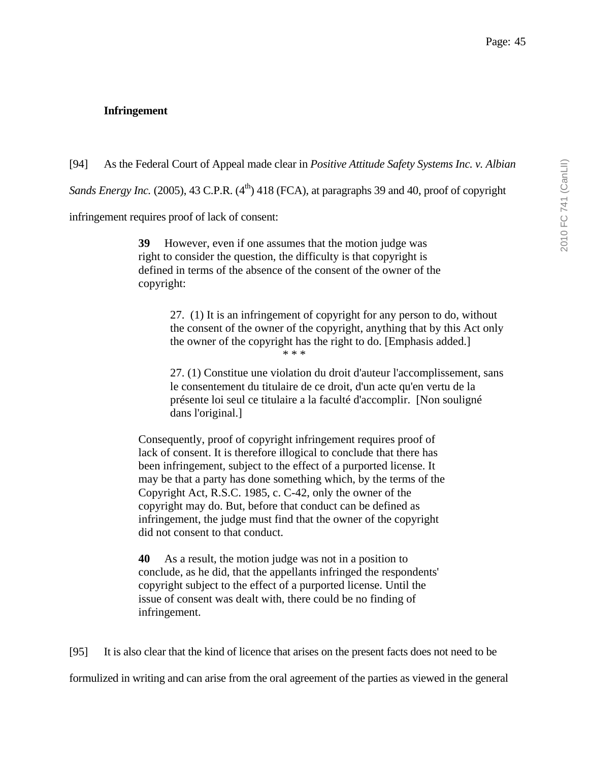## **Infringement**

[94] As the Federal Court of Appeal made clear in *Positive Attitude Safety Systems Inc. v. Albian* 

*Sands Energy Inc.* (2005), 43 C.P.R. (4<sup>th</sup>) 418 (FCA), at paragraphs 39 and 40, proof of copyright

infringement requires proof of lack of consent:

**39** However, even if one assumes that the motion judge was right to consider the question, the difficulty is that copyright is defined in terms of the absence of the consent of the owner of the copyright:

> 27. (1) It is an infringement of copyright for any person to do, without the consent of the owner of the copyright, anything that by this Act only the owner of the copyright has the right to do. [Emphasis added.] \* \* \*

> 27. (1) Constitue une violation du droit d'auteur l'accomplissement, sans le consentement du titulaire de ce droit, d'un acte qu'en vertu de la présente loi seul ce titulaire a la faculté d'accomplir. [Non souligné dans l'original.]

Consequently, proof of copyright infringement requires proof of lack of consent. It is therefore illogical to conclude that there has been infringement, subject to the effect of a purported license. It may be that a party has done something which, by the terms of the Copyright Act, R.S.C. 1985, c. C-42, only the owner of the copyright may do. But, before that conduct can be defined as infringement, the judge must find that the owner of the copyright did not consent to that conduct.

**40** As a result, the motion judge was not in a position to conclude, as he did, that the appellants infringed the respondents' copyright subject to the effect of a purported license. Until the issue of consent was dealt with, there could be no finding of infringement.

[95] It is also clear that the kind of licence that arises on the present facts does not need to be formulized in writing and can arise from the oral agreement of the parties as viewed in the general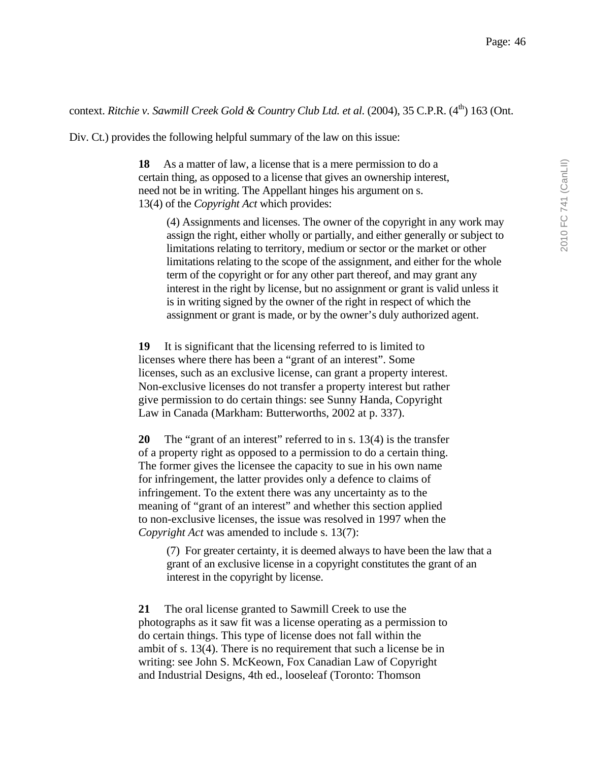# context. *Ritchie v. Sawmill Creek Gold & Country Club Ltd. et al.* (2004), 35 C.P.R. (4<sup>th</sup>) 163 (Ont.

Div. Ct.) provides the following helpful summary of the law on this issue:

**18** As a matter of law, a license that is a mere permission to do a certain thing, as opposed to a license that gives an ownership interest, need not be in writing. The Appellant hinges his argument on s. 13(4) of the *Copyright Act* which provides:

(4) Assignments and licenses. The owner of the copyright in any work may assign the right, either wholly or partially, and either generally or subject to limitations relating to territory, medium or sector or the market or other limitations relating to the scope of the assignment, and either for the whole term of the copyright or for any other part thereof, and may grant any interest in the right by license, but no assignment or grant is valid unless it is in writing signed by the owner of the right in respect of which the assignment or grant is made, or by the owner's duly authorized agent.

**19** It is significant that the licensing referred to is limited to licenses where there has been a "grant of an interest". Some licenses, such as an exclusive license, can grant a property interest. Non-exclusive licenses do not transfer a property interest but rather give permission to do certain things: see Sunny Handa, Copyright Law in Canada (Markham: Butterworths, 2002 at p. 337).

**20** The "grant of an interest" referred to in s. 13(4) is the transfer of a property right as opposed to a permission to do a certain thing. The former gives the licensee the capacity to sue in his own name for infringement, the latter provides only a defence to claims of infringement. To the extent there was any uncertainty as to the meaning of "grant of an interest" and whether this section applied to non-exclusive licenses, the issue was resolved in 1997 when the *Copyright Act* was amended to include s. 13(7):

(7) For greater certainty, it is deemed always to have been the law that a grant of an exclusive license in a copyright constitutes the grant of an interest in the copyright by license.

**21** The oral license granted to Sawmill Creek to use the photographs as it saw fit was a license operating as a permission to do certain things. This type of license does not fall within the ambit of s. 13(4). There is no requirement that such a license be in writing: see John S. McKeown, Fox Canadian Law of Copyright and Industrial Designs, 4th ed., looseleaf (Toronto: Thomson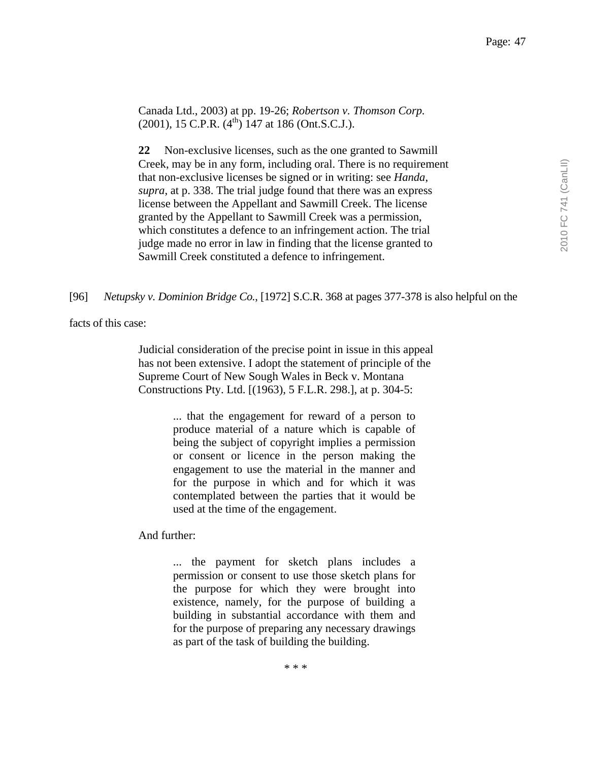Canada Ltd., 2003) at pp. 19-26; *Robertson v. Thomson Corp.*  $(2001)$ , 15 C.P.R.  $(4<sup>th</sup>)$  147 at 186 (Ont.S.C.J.).

**22** Non-exclusive licenses, such as the one granted to Sawmill Creek, may be in any form, including oral. There is no requirement that non-exclusive licenses be signed or in writing: see *Handa*, *supra*, at p. 338. The trial judge found that there was an express license between the Appellant and Sawmill Creek. The license granted by the Appellant to Sawmill Creek was a permission, which constitutes a defence to an infringement action. The trial judge made no error in law in finding that the license granted to Sawmill Creek constituted a defence to infringement.

[96] *Netupsky v. Dominion Bridge Co.*, [1972] S.C.R. 368 at pages 377-378 is also helpful on the

facts of this case:

Judicial consideration of the precise point in issue in this appeal has not been extensive. I adopt the statement of principle of the Supreme Court of New Sough Wales in Beck v. Montana Constructions Pty. Ltd. [(1963), 5 F.L.R. 298.], at p. 304-5:

> ... that the engagement for reward of a person to produce material of a nature which is capable of being the subject of copyright implies a permission or consent or licence in the person making the engagement to use the material in the manner and for the purpose in which and for which it was contemplated between the parties that it would be used at the time of the engagement.

And further:

... the payment for sketch plans includes a permission or consent to use those sketch plans for the purpose for which they were brought into existence, namely, for the purpose of building a building in substantial accordance with them and for the purpose of preparing any necessary drawings as part of the task of building the building.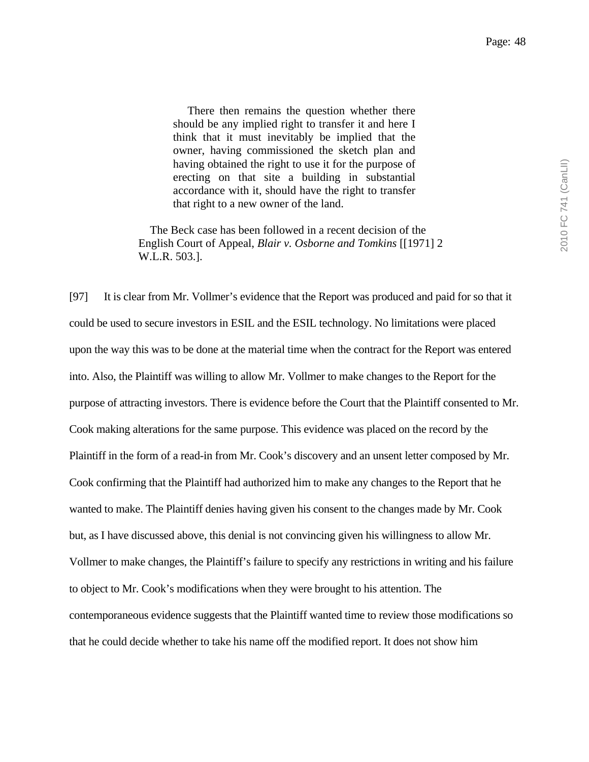There then remains the question whether there should be any implied right to transfer it and here I think that it must inevitably be implied that the owner, having commissioned the sketch plan and having obtained the right to use it for the purpose of erecting on that site a building in substantial accordance with it, should have the right to transfer that right to a new owner of the land.

 The Beck case has been followed in a recent decision of the English Court of Appeal, *Blair v. Osborne and Tomkins* [[1971] 2 W.L.R. 503.].

[97] It is clear from Mr. Vollmer's evidence that the Report was produced and paid for so that it could be used to secure investors in ESIL and the ESIL technology. No limitations were placed upon the way this was to be done at the material time when the contract for the Report was entered into. Also, the Plaintiff was willing to allow Mr. Vollmer to make changes to the Report for the purpose of attracting investors. There is evidence before the Court that the Plaintiff consented to Mr. Cook making alterations for the same purpose. This evidence was placed on the record by the Plaintiff in the form of a read-in from Mr. Cook's discovery and an unsent letter composed by Mr. Cook confirming that the Plaintiff had authorized him to make any changes to the Report that he wanted to make. The Plaintiff denies having given his consent to the changes made by Mr. Cook but, as I have discussed above, this denial is not convincing given his willingness to allow Mr. Vollmer to make changes, the Plaintiff's failure to specify any restrictions in writing and his failure to object to Mr. Cook's modifications when they were brought to his attention. The contemporaneous evidence suggests that the Plaintiff wanted time to review those modifications so that he could decide whether to take his name off the modified report. It does not show him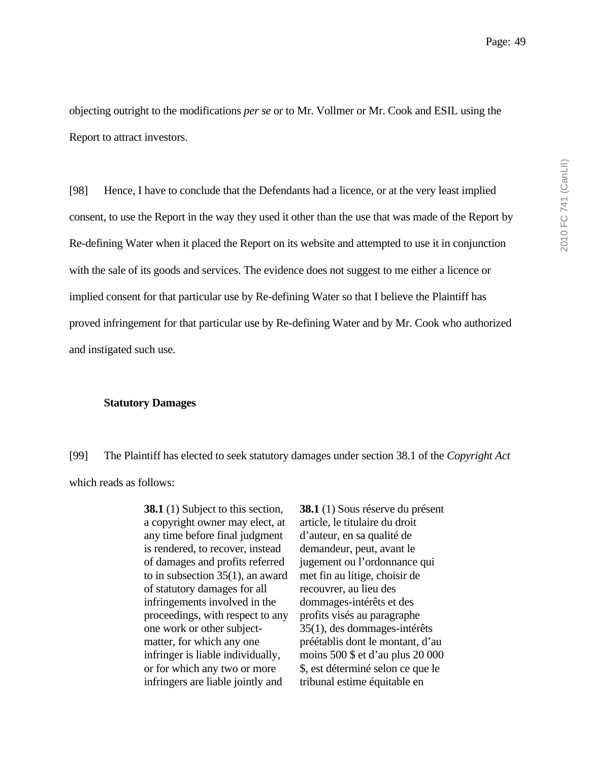objecting outright to the modifications *per se* or to Mr. Vollmer or Mr. Cook and ESIL using the Report to attract investors.

[98] Hence, I have to conclude that the Defendants had a licence, or at the very least implied consent, to use the Report in the way they used it other than the use that was made of the Report by Re-defining Water when it placed the Report on its website and attempted to use it in conjunction with the sale of its goods and services. The evidence does not suggest to me either a licence or implied consent for that particular use by Re-defining Water so that I believe the Plaintiff has proved infringement for that particular use by Re-defining Water and by Mr. Cook who authorized and instigated such use.

#### **Statutory Damages**

[99] The Plaintiff has elected to seek statutory damages under section 38.1 of the *Copyright Act* which reads as follows:

> **38.1** (1) Subject to this section, a copyright owner may elect, at any time before final judgment is rendered, to recover, instead of damages and profits referred to in subsection 35(1), an award of statutory damages for all infringements involved in the proceedings, with respect to any one work or other subjectmatter, for which any one infringer is liable individually, or for which any two or more infringers are liable jointly and

**38.1** (1) Sous réserve du présent article, le titulaire du droit d'auteur, en sa qualité de demandeur, peut, avant le jugement ou l'ordonnance qui met fin au litige, choisir de recouvrer, au lieu des dommages-intérêts et des profits visés au paragraphe 35(1), des dommages-intérêts préétablis dont le montant, d'au moins 500 \$ et d'au plus 20 000 \$, est déterminé selon ce que le tribunal estime équitable en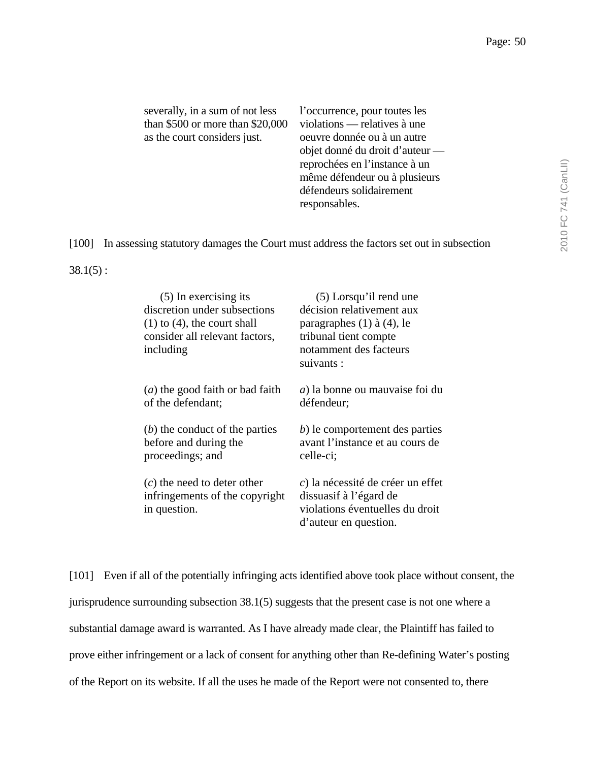| severally, in a sum of not less    | l'occurrence, pour toutes les   |
|------------------------------------|---------------------------------|
| than $$500$ or more than $$20,000$ | violations — relatives à une    |
| as the court considers just.       | oeuvre donnée ou à un autre     |
|                                    | objet donné du droit d'auteur — |
|                                    | reprochées en l'instance à un   |
|                                    | même défendeur ou à plusieurs   |
|                                    | défendeurs solidairement        |
|                                    | responsables.                   |

[100] In assessing statutory damages the Court must address the factors set out in subsection

 $38.1(5)$ :

| (5) In exercising its<br>discretion under subsections<br>$(1)$ to $(4)$ , the court shall<br>consider all relevant factors,<br>including | $(5)$ Lorsqu'il rend une<br>décision relativement aux<br>paragraphes $(1)$ à $(4)$ , le<br>tribunal tient compte<br>notamment des facteurs<br>suivants : |
|------------------------------------------------------------------------------------------------------------------------------------------|----------------------------------------------------------------------------------------------------------------------------------------------------------|
| $(a)$ the good faith or bad faith                                                                                                        | a) la bonne ou mauvaise foi du                                                                                                                           |
| of the defendant;                                                                                                                        | défendeur;                                                                                                                                               |
| $(b)$ the conduct of the parties                                                                                                         | b) le comportement des parties                                                                                                                           |
| before and during the                                                                                                                    | avant l'instance et au cours de                                                                                                                          |
| proceedings; and                                                                                                                         | celle-ci;                                                                                                                                                |
| $(c)$ the need to deter other<br>infringements of the copyright<br>in question.                                                          | c) la nécessité de créer un effet<br>dissuasif à l'égard de<br>violations éventuelles du droit<br>d'auteur en question.                                  |

[101] Even if all of the potentially infringing acts identified above took place without consent, the jurisprudence surrounding subsection 38.1(5) suggests that the present case is not one where a substantial damage award is warranted. As I have already made clear, the Plaintiff has failed to prove either infringement or a lack of consent for anything other than Re-defining Water's posting of the Report on its website. If all the uses he made of the Report were not consented to, there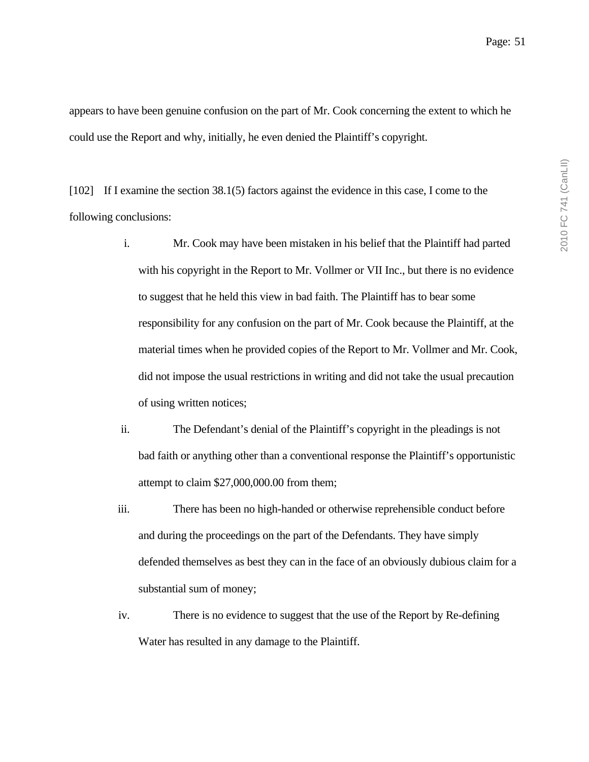appears to have been genuine confusion on the part of Mr. Cook concerning the extent to which he could use the Report and why, initially, he even denied the Plaintiff's copyright.

[102] If I examine the section 38.1(5) factors against the evidence in this case, I come to the following conclusions:

- i. Mr. Cook may have been mistaken in his belief that the Plaintiff had parted with his copyright in the Report to Mr. Vollmer or VII Inc., but there is no evidence to suggest that he held this view in bad faith. The Plaintiff has to bear some responsibility for any confusion on the part of Mr. Cook because the Plaintiff, at the material times when he provided copies of the Report to Mr. Vollmer and Mr. Cook, did not impose the usual restrictions in writing and did not take the usual precaution of using written notices;
- ii. The Defendant's denial of the Plaintiff's copyright in the pleadings is not bad faith or anything other than a conventional response the Plaintiff's opportunistic attempt to claim \$27,000,000.00 from them;
- iii. There has been no high-handed or otherwise reprehensible conduct before and during the proceedings on the part of the Defendants. They have simply defended themselves as best they can in the face of an obviously dubious claim for a substantial sum of money;
- iv. There is no evidence to suggest that the use of the Report by Re-defining Water has resulted in any damage to the Plaintiff.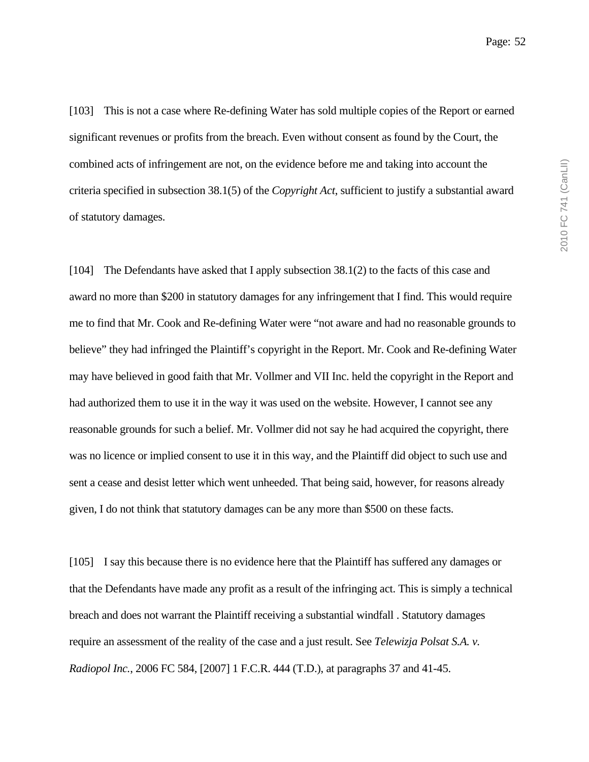[103] This is not a case where Re-defining Water has sold multiple copies of the Report or earned significant revenues or profits from the breach. Even without consent as found by the Court, the combined acts of infringement are not, on the evidence before me and taking into account the criteria specified in subsection 38.1(5) of the *Copyright Act*, sufficient to justify a substantial award of statutory damages.

[104] The Defendants have asked that I apply subsection 38.1(2) to the facts of this case and award no more than \$200 in statutory damages for any infringement that I find. This would require me to find that Mr. Cook and Re-defining Water were "not aware and had no reasonable grounds to believe" they had infringed the Plaintiff's copyright in the Report. Mr. Cook and Re-defining Water may have believed in good faith that Mr. Vollmer and VII Inc. held the copyright in the Report and had authorized them to use it in the way it was used on the website. However, I cannot see any reasonable grounds for such a belief. Mr. Vollmer did not say he had acquired the copyright, there was no licence or implied consent to use it in this way, and the Plaintiff did object to such use and sent a cease and desist letter which went unheeded. That being said, however, for reasons already given, I do not think that statutory damages can be any more than \$500 on these facts.

[105] I say this because there is no evidence here that the Plaintiff has suffered any damages or that the Defendants have made any profit as a result of the infringing act. This is simply a technical breach and does not warrant the Plaintiff receiving a substantial windfall . Statutory damages require an assessment of the reality of the case and a just result. See *Telewizja Polsat S.A. v. Radiopol Inc.*, 2006 FC 584, [2007] 1 F.C.R. 444 (T.D.), at paragraphs 37 and 41-45.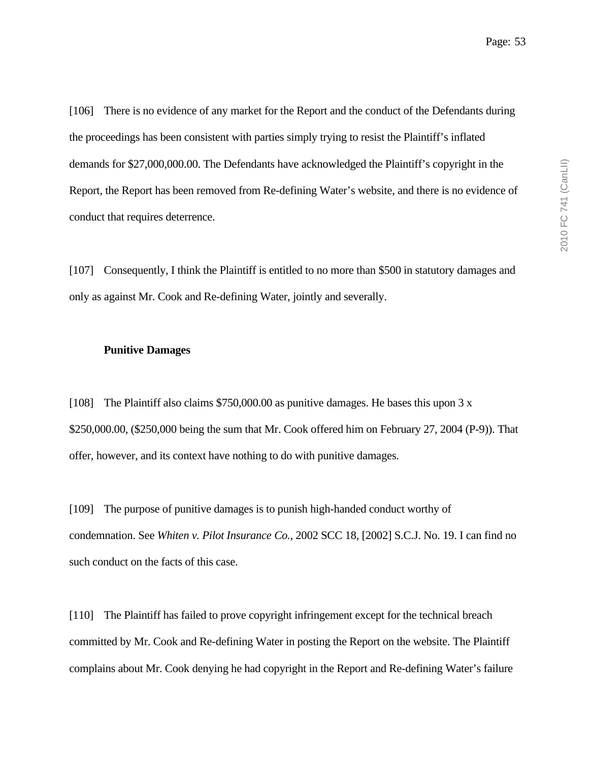[106] There is no evidence of any market for the Report and the conduct of the Defendants during the proceedings has been consistent with parties simply trying to resist the Plaintiff's inflated demands for \$27,000,000.00. The Defendants have acknowledged the Plaintiff's copyright in the Report, the Report has been removed from Re-defining Water's website, and there is no evidence of conduct that requires deterrence.

[107] Consequently, I think the Plaintiff is entitled to no more than \$500 in statutory damages and only as against Mr. Cook and Re-defining Water, jointly and severally.

#### **Punitive Damages**

[108] The Plaintiff also claims \$750,000.00 as punitive damages. He bases this upon 3 x \$250,000.00, (\$250,000 being the sum that Mr. Cook offered him on February 27, 2004 (P-9)). That offer, however, and its context have nothing to do with punitive damages.

[109] The purpose of punitive damages is to punish high-handed conduct worthy of condemnation. See *Whiten v. Pilot Insurance Co.*, 2002 SCC 18, [2002] S.C.J. No. 19. I can find no such conduct on the facts of this case.

[110] The Plaintiff has failed to prove copyright infringement except for the technical breach committed by Mr. Cook and Re-defining Water in posting the Report on the website. The Plaintiff complains about Mr. Cook denying he had copyright in the Report and Re-defining Water's failure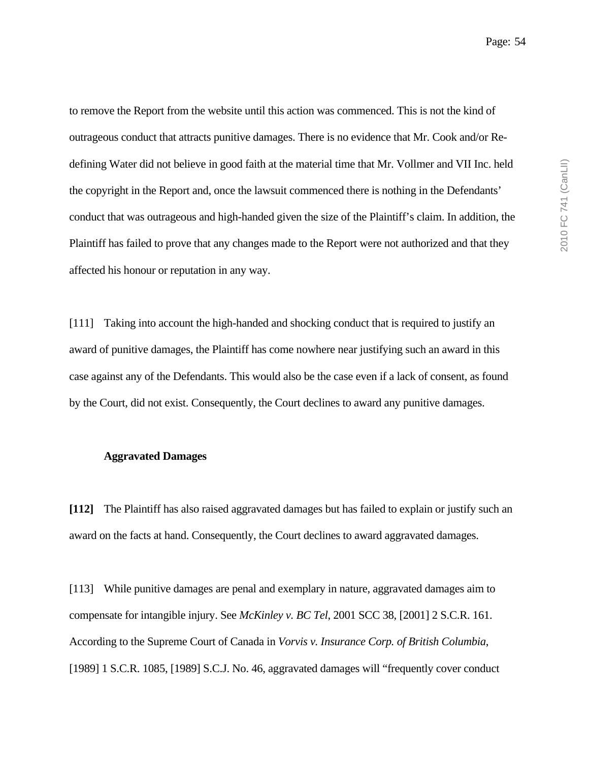to remove the Report from the website until this action was commenced. This is not the kind of outrageous conduct that attracts punitive damages. There is no evidence that Mr. Cook and/or Redefining Water did not believe in good faith at the material time that Mr. Vollmer and VII Inc. held the copyright in the Report and, once the lawsuit commenced there is nothing in the Defendants' conduct that was outrageous and high-handed given the size of the Plaintiff's claim. In addition, the Plaintiff has failed to prove that any changes made to the Report were not authorized and that they affected his honour or reputation in any way.

[111] Taking into account the high-handed and shocking conduct that is required to justify an award of punitive damages, the Plaintiff has come nowhere near justifying such an award in this case against any of the Defendants. This would also be the case even if a lack of consent, as found by the Court, did not exist. Consequently, the Court declines to award any punitive damages.

#### **Aggravated Damages**

**[112]** The Plaintiff has also raised aggravated damages but has failed to explain or justify such an award on the facts at hand. Consequently, the Court declines to award aggravated damages.

[113] While punitive damages are penal and exemplary in nature, aggravated damages aim to compensate for intangible injury. See *McKinley v. BC Tel*, 2001 SCC 38, [2001] 2 S.C.R. 161. According to the Supreme Court of Canada in *Vorvis v. Insurance Corp. of British Columbia*, [1989] 1 S.C.R. 1085, [1989] S.C.J. No. 46, aggravated damages will "frequently cover conduct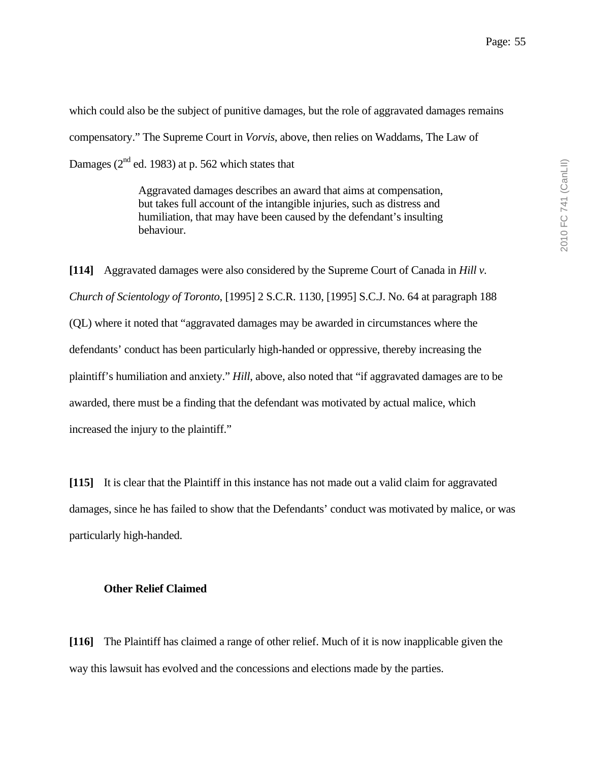which could also be the subject of punitive damages, but the role of aggravated damages remains compensatory." The Supreme Court in *Vorvis*, above, then relies on Waddams, The Law of Damages ( $2<sup>nd</sup>$  ed. 1983) at p. 562 which states that

> Aggravated damages describes an award that aims at compensation, but takes full account of the intangible injuries, such as distress and humiliation, that may have been caused by the defendant's insulting behaviour.

**[114]** Aggravated damages were also considered by the Supreme Court of Canada in *Hill v. Church of Scientology of Toronto*, [1995] 2 S.C.R. 1130, [1995] S.C.J. No. 64 at paragraph 188 (QL) where it noted that "aggravated damages may be awarded in circumstances where the defendants' conduct has been particularly high-handed or oppressive, thereby increasing the plaintiff's humiliation and anxiety." *Hill*, above, also noted that "if aggravated damages are to be awarded, there must be a finding that the defendant was motivated by actual malice, which increased the injury to the plaintiff."

**[115]** It is clear that the Plaintiff in this instance has not made out a valid claim for aggravated damages, since he has failed to show that the Defendants' conduct was motivated by malice, or was particularly high-handed.

#### **Other Relief Claimed**

**[116]** The Plaintiff has claimed a range of other relief. Much of it is now inapplicable given the way this lawsuit has evolved and the concessions and elections made by the parties.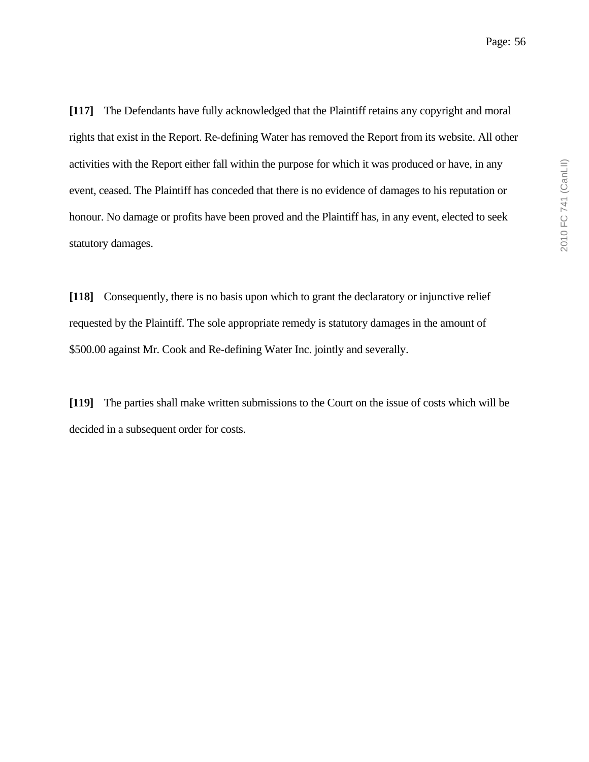**[117]** The Defendants have fully acknowledged that the Plaintiff retains any copyright and moral rights that exist in the Report. Re-defining Water has removed the Report from its website. All other activities with the Report either fall within the purpose for which it was produced or have, in any event, ceased. The Plaintiff has conceded that there is no evidence of damages to his reputation or honour. No damage or profits have been proved and the Plaintiff has, in any event, elected to seek statutory damages.

**[118]** Consequently, there is no basis upon which to grant the declaratory or injunctive relief requested by the Plaintiff. The sole appropriate remedy is statutory damages in the amount of \$500.00 against Mr. Cook and Re-defining Water Inc. jointly and severally.

**[119]** The parties shall make written submissions to the Court on the issue of costs which will be decided in a subsequent order for costs.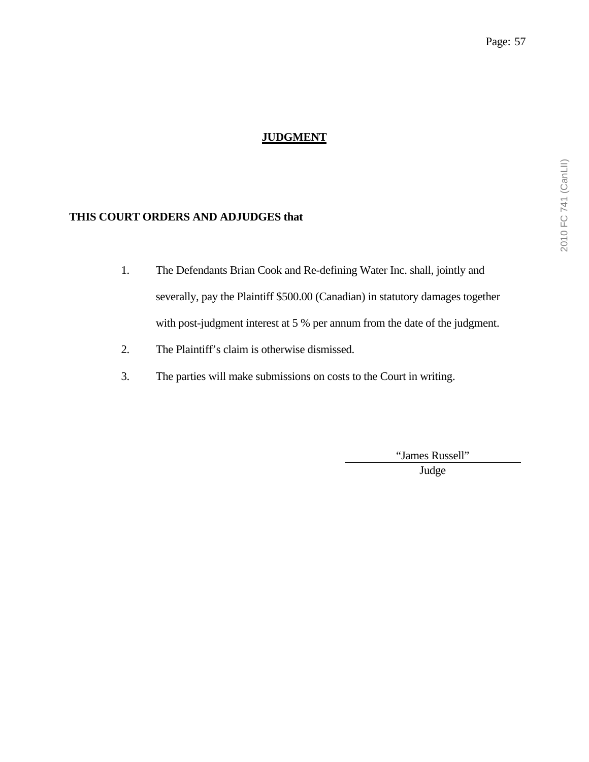# **JUDGMENT**

## **THIS COURT ORDERS AND ADJUDGES that**

- 1. The Defendants Brian Cook and Re-defining Water Inc. shall, jointly and severally, pay the Plaintiff \$500.00 (Canadian) in statutory damages together with post-judgment interest at 5 % per annum from the date of the judgment.
- 2. The Plaintiff's claim is otherwise dismissed.
- 3. The parties will make submissions on costs to the Court in writing.

"James Russell"

Judge